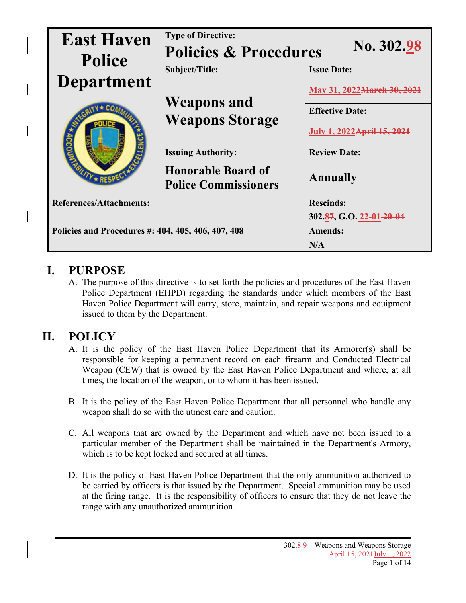| <b>East Haven</b><br><b>Police</b>                 | <b>Type of Directive:</b><br><b>Policies &amp; Procedures</b> |                                                | No. 302.98               |  |
|----------------------------------------------------|---------------------------------------------------------------|------------------------------------------------|--------------------------|--|
| <b>Department</b>                                  | Subject/Title:                                                | <b>Issue Date:</b>                             |                          |  |
|                                                    | <b>Weapons and</b>                                            | May 31, 2022 March 3<br><b>Effective Date:</b> |                          |  |
|                                                    | <b>Weapons Storage</b>                                        | <b>July 1, 2022 April 15</b>                   |                          |  |
|                                                    | <b>Issuing Authority:</b>                                     | <b>Review Date:</b>                            |                          |  |
|                                                    | <b>Honorable Board of</b><br><b>Police Commissioners</b>      | <b>Annually</b>                                |                          |  |
| <b>References/Attachments:</b>                     |                                                               | <b>Rescinds:</b>                               |                          |  |
|                                                    |                                                               |                                                | 302.87, G.O. 22-01-20-04 |  |
| Policies and Procedures #: 404, 405, 406, 407, 408 |                                                               | <b>Amends:</b><br>N/A                          |                          |  |

### **I. PURPOSE**

A. The purpose of this directive is to set forth the policies and procedures of the East Haven Police Department (EHPD) regarding the standards under which members of the East Haven Police Department will carry, store, maintain, and repair weapons and equipment issued to them by the Department.

## **II. POLICY**

- A. It is the policy of the East Haven Police Department that its Armorer(s) shall be responsible for keeping a permanent record on each firearm and Conducted Electrical Weapon (CEW) that is owned by the East Haven Police Department and where, at all times, the location of the weapon, or to whom it has been issued.
- B. It is the policy of the East Haven Police Department that all personnel who handle any weapon shall do so with the utmost care and caution.
- C. All weapons that are owned by the Department and which have not been issued to a particular member of the Department shall be maintained in the Department's Armory, which is to be kept locked and secured at all times.
- D. It is the policy of East Haven Police Department that the only ammunition authorized to be carried by officers is that issued by the Department. Special ammunition may be used at the firing range. It is the responsibility of officers to ensure that they do not leave the range with any unauthorized ammunition.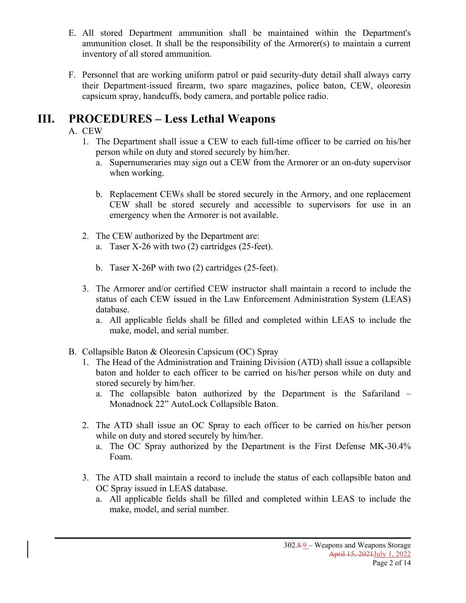- E. All stored Department ammunition shall be maintained within the Department's ammunition closet. It shall be the responsibility of the Armorer(s) to maintain a current inventory of all stored ammunition.
- F. Personnel that are working uniform patrol or paid security-duty detail shall always carry their Department-issued firearm, two spare magazines, police baton, CEW, oleoresin capsicum spray, handcuffs, body camera, and portable police radio.

### **III. PROCEDURES – Less Lethal Weapons**

#### A. CEW

- 1. The Department shall issue a CEW to each full-time officer to be carried on his/her person while on duty and stored securely by him/her.
	- a. Supernumeraries may sign out a CEW from the Armorer or an on-duty supervisor when working.
	- b. Replacement CEWs shall be stored securely in the Armory, and one replacement CEW shall be stored securely and accessible to supervisors for use in an emergency when the Armorer is not available.
- 2. The CEW authorized by the Department are: a. Taser X-26 with two (2) cartridges (25-feet).
	- b. Taser X-26P with two (2) cartridges (25-feet).
- 3. The Armorer and/or certified CEW instructor shall maintain a record to include the status of each CEW issued in the Law Enforcement Administration System (LEAS) database.
	- a. All applicable fields shall be filled and completed within LEAS to include the make, model, and serial number.
- B. Collapsible Baton & Oleoresin Capsicum (OC) Spray
	- 1. The Head of the Administration and Training Division (ATD) shall issue a collapsible baton and holder to each officer to be carried on his/her person while on duty and stored securely by him/her.
		- a. The collapsible baton authorized by the Department is the Safariland Monadnock 22" AutoLock Collapsible Baton.
	- 2. The ATD shall issue an OC Spray to each officer to be carried on his/her person while on duty and stored securely by him/her.
		- a. The OC Spray authorized by the Department is the First Defense MK-30.4% Foam.
	- 3. The ATD shall maintain a record to include the status of each collapsible baton and OC Spray issued in LEAS database.
		- a. All applicable fields shall be filled and completed within LEAS to include the make, model, and serial number.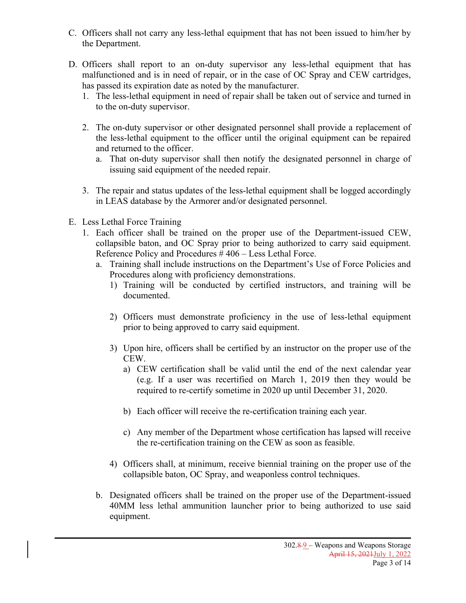- C. Officers shall not carry any less-lethal equipment that has not been issued to him/her by the Department.
- D. Officers shall report to an on-duty supervisor any less-lethal equipment that has malfunctioned and is in need of repair, or in the case of OC Spray and CEW cartridges, has passed its expiration date as noted by the manufacturer.
	- 1. The less-lethal equipment in need of repair shall be taken out of service and turned in to the on-duty supervisor.
	- 2. The on-duty supervisor or other designated personnel shall provide a replacement of the less-lethal equipment to the officer until the original equipment can be repaired and returned to the officer.
		- a. That on-duty supervisor shall then notify the designated personnel in charge of issuing said equipment of the needed repair.
	- 3. The repair and status updates of the less-lethal equipment shall be logged accordingly in LEAS database by the Armorer and/or designated personnel.
- E. Less Lethal Force Training
	- 1. Each officer shall be trained on the proper use of the Department-issued CEW, collapsible baton, and OC Spray prior to being authorized to carry said equipment. Reference Policy and Procedures # 406 – Less Lethal Force.
		- a. Training shall include instructions on the Department's Use of Force Policies and Procedures along with proficiency demonstrations.
			- 1) Training will be conducted by certified instructors, and training will be documented.
			- 2) Officers must demonstrate proficiency in the use of less-lethal equipment prior to being approved to carry said equipment.
			- 3) Upon hire, officers shall be certified by an instructor on the proper use of the CEW.
				- a) CEW certification shall be valid until the end of the next calendar year (e.g. If a user was recertified on March 1, 2019 then they would be required to re-certify sometime in 2020 up until December 31, 2020.
				- b) Each officer will receive the re-certification training each year.
				- c) Any member of the Department whose certification has lapsed will receive the re-certification training on the CEW as soon as feasible.
			- 4) Officers shall, at minimum, receive biennial training on the proper use of the collapsible baton, OC Spray, and weaponless control techniques.
		- b. Designated officers shall be trained on the proper use of the Department-issued 40MM less lethal ammunition launcher prior to being authorized to use said equipment.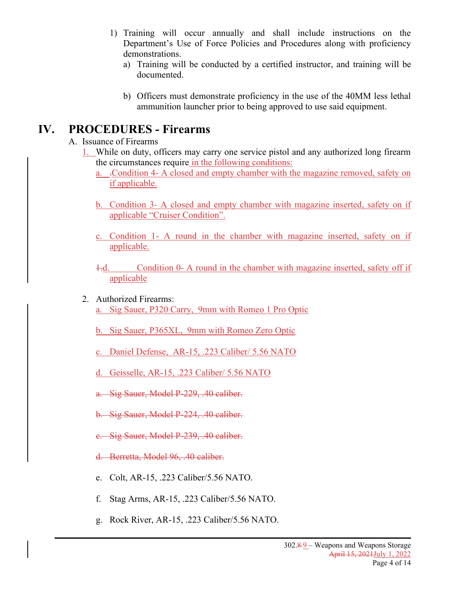- 1) Training will occur annually and shall include instructions on the Department's Use of Force Policies and Procedures along with proficiency demonstrations.
	- a) Training will be conducted by a certified instructor, and training will be documented.
	- b) Officers must demonstrate proficiency in the use of the 40MM less lethal ammunition launcher prior to being approved to use said equipment.

### **IV. PROCEDURES - Firearms**

- A. Issuance of Firearms
	- 1. While on duty, officers may carry one service pistol and any authorized long firearm the circumstances require in the following conditions:
		- a. .Condition 4- A closed and empty chamber with the magazine removed, safety on if applicable.
		- b. Condition 3- A closed and empty chamber with magazine inserted, safety on if applicable "Cruiser Condition".
		- c. Condition 1- A round in the chamber with magazine inserted, safety on if applicable.
		- 1.d. Condition 0- A round in the chamber with magazine inserted, safety off if applicable
	- 2. Authorized Firearms: a. Sig Sauer, P320 Carry, 9mm with Romeo 1 Pro Optic
		- b. Sig Sauer, P365XL, 9mm with Romeo Zero Optic
		- c. Daniel Defense, AR-15, .223 Caliber/ 5.56 NATO
		- d. Geisselle, AR-15, .223 Caliber/ 5.56 NATO
		- a. Sig Sauer, Model P-229, .40 caliber.
		- b. Sig Sauer, Model P-224, .40 caliber.
		- c. Sig Sauer, Model P-239, .40 caliber.
		- d. Berretta, Model 96, .40 caliber.
		- e. Colt, AR-15, .223 Caliber/5.56 NATO.
		- f. Stag Arms, AR-15, .223 Caliber/5.56 NATO.
		- g. Rock River, AR-15, .223 Caliber/5.56 NATO.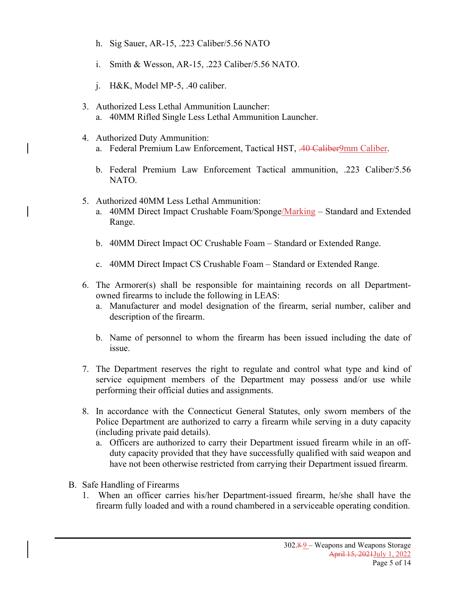- h. Sig Sauer, AR-15, .223 Caliber/5.56 NATO
- i. Smith & Wesson, AR-15, .223 Caliber/5.56 NATO.
- j. H&K, Model MP-5, .40 caliber.
- 3. Authorized Less Lethal Ammunition Launcher: a. 40MM Rifled Single Less Lethal Ammunition Launcher.
- 4. Authorized Duty Ammunition: a. Federal Premium Law Enforcement, Tactical HST, .40 Caliber9mm Caliber.
	- b. Federal Premium Law Enforcement Tactical ammunition, .223 Caliber/5.56 NATO.
- 5. Authorized 40MM Less Lethal Ammunition:
	- a. 40MM Direct Impact Crushable Foam/Sponge/Marking Standard and Extended Range.
	- b. 40MM Direct Impact OC Crushable Foam Standard or Extended Range.
	- c. 40MM Direct Impact CS Crushable Foam Standard or Extended Range.
- 6. The Armorer(s) shall be responsible for maintaining records on all Departmentowned firearms to include the following in LEAS:
	- a. Manufacturer and model designation of the firearm, serial number, caliber and description of the firearm.
	- b. Name of personnel to whom the firearm has been issued including the date of issue.
- 7. The Department reserves the right to regulate and control what type and kind of service equipment members of the Department may possess and/or use while performing their official duties and assignments.
- 8. In accordance with the Connecticut General Statutes, only sworn members of the Police Department are authorized to carry a firearm while serving in a duty capacity (including private paid details).
	- a. Officers are authorized to carry their Department issued firearm while in an offduty capacity provided that they have successfully qualified with said weapon and have not been otherwise restricted from carrying their Department issued firearm.
- B. Safe Handling of Firearms
	- 1. When an officer carries his/her Department-issued firearm, he/she shall have the firearm fully loaded and with a round chambered in a serviceable operating condition.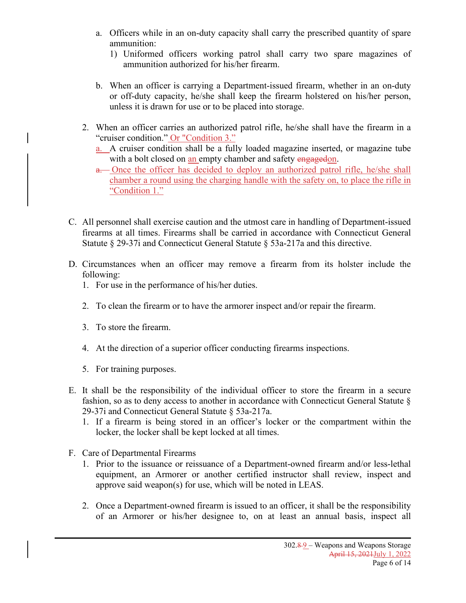- a. Officers while in an on-duty capacity shall carry the prescribed quantity of spare ammunition:
	- 1) Uniformed officers working patrol shall carry two spare magazines of ammunition authorized for his/her firearm.
- b. When an officer is carrying a Department-issued firearm, whether in an on-duty or off-duty capacity, he/she shall keep the firearm holstered on his/her person, unless it is drawn for use or to be placed into storage.
- 2. When an officer carries an authorized patrol rifle, he/she shall have the firearm in a "cruiser condition." Or "Condition 3."
	- a. A cruiser condition shall be a fully loaded magazine inserted, or magazine tube with a bolt closed on an empty chamber and safety engagedon.
	- a. Once the officer has decided to deploy an authorized patrol rifle, he/she shall chamber a round using the charging handle with the safety on, to place the rifle in "Condition 1."
- C. All personnel shall exercise caution and the utmost care in handling of Department-issued firearms at all times. Firearms shall be carried in accordance with Connecticut General Statute § 29-37i and Connecticut General Statute § 53a-217a and this directive.
- D. Circumstances when an officer may remove a firearm from its holster include the following:
	- 1. For use in the performance of his/her duties.
	- 2. To clean the firearm or to have the armorer inspect and/or repair the firearm.
	- 3. To store the firearm.
	- 4. At the direction of a superior officer conducting firearms inspections.
	- 5. For training purposes.
- E. It shall be the responsibility of the individual officer to store the firearm in a secure fashion, so as to deny access to another in accordance with Connecticut General Statute § 29-37i and Connecticut General Statute § 53a-217a.
	- 1. If a firearm is being stored in an officer's locker or the compartment within the locker, the locker shall be kept locked at all times.
- F. Care of Departmental Firearms
	- 1. Prior to the issuance or reissuance of a Department-owned firearm and/or less-lethal equipment, an Armorer or another certified instructor shall review, inspect and approve said weapon(s) for use, which will be noted in LEAS.
	- 2. Once a Department-owned firearm is issued to an officer, it shall be the responsibility of an Armorer or his/her designee to, on at least an annual basis, inspect all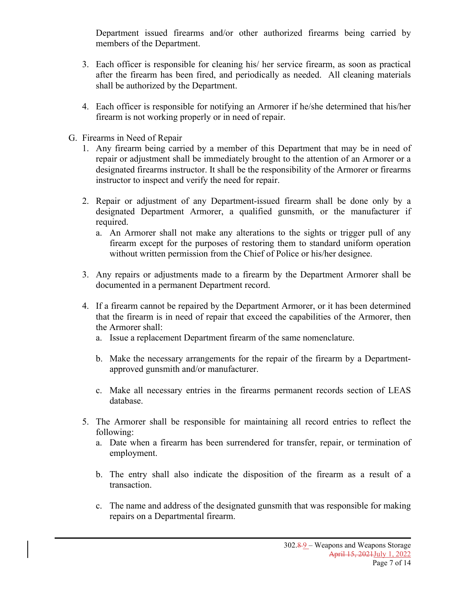Department issued firearms and/or other authorized firearms being carried by members of the Department.

- 3. Each officer is responsible for cleaning his/ her service firearm, as soon as practical after the firearm has been fired, and periodically as needed. All cleaning materials shall be authorized by the Department.
- 4. Each officer is responsible for notifying an Armorer if he/she determined that his/her firearm is not working properly or in need of repair.
- G. Firearms in Need of Repair
	- 1. Any firearm being carried by a member of this Department that may be in need of repair or adjustment shall be immediately brought to the attention of an Armorer or a designated firearms instructor. It shall be the responsibility of the Armorer or firearms instructor to inspect and verify the need for repair.
	- 2. Repair or adjustment of any Department-issued firearm shall be done only by a designated Department Armorer, a qualified gunsmith, or the manufacturer if required.
		- a. An Armorer shall not make any alterations to the sights or trigger pull of any firearm except for the purposes of restoring them to standard uniform operation without written permission from the Chief of Police or his/her designee.
	- 3. Any repairs or adjustments made to a firearm by the Department Armorer shall be documented in a permanent Department record.
	- 4. If a firearm cannot be repaired by the Department Armorer, or it has been determined that the firearm is in need of repair that exceed the capabilities of the Armorer, then the Armorer shall:
		- a. Issue a replacement Department firearm of the same nomenclature.
		- b. Make the necessary arrangements for the repair of the firearm by a Departmentapproved gunsmith and/or manufacturer.
		- c. Make all necessary entries in the firearms permanent records section of LEAS database.
	- 5. The Armorer shall be responsible for maintaining all record entries to reflect the following:
		- a. Date when a firearm has been surrendered for transfer, repair, or termination of employment.
		- b. The entry shall also indicate the disposition of the firearm as a result of a transaction.
		- c. The name and address of the designated gunsmith that was responsible for making repairs on a Departmental firearm.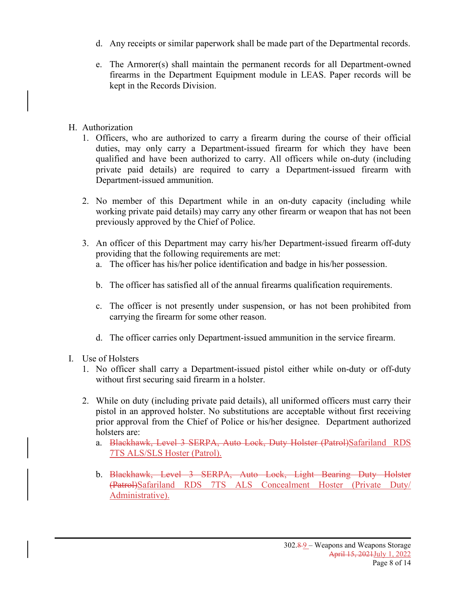- d. Any receipts or similar paperwork shall be made part of the Departmental records.
- e. The Armorer(s) shall maintain the permanent records for all Department-owned firearms in the Department Equipment module in LEAS. Paper records will be kept in the Records Division.

#### H. Authorization

- 1. Officers, who are authorized to carry a firearm during the course of their official duties, may only carry a Department-issued firearm for which they have been qualified and have been authorized to carry. All officers while on-duty (including private paid details) are required to carry a Department-issued firearm with Department-issued ammunition.
- 2. No member of this Department while in an on-duty capacity (including while working private paid details) may carry any other firearm or weapon that has not been previously approved by the Chief of Police.
- 3. An officer of this Department may carry his/her Department-issued firearm off-duty providing that the following requirements are met:
	- a. The officer has his/her police identification and badge in his/her possession.
	- b. The officer has satisfied all of the annual firearms qualification requirements.
	- c. The officer is not presently under suspension, or has not been prohibited from carrying the firearm for some other reason.
	- d. The officer carries only Department-issued ammunition in the service firearm.
- I. Use of Holsters
	- 1. No officer shall carry a Department-issued pistol either while on-duty or off-duty without first securing said firearm in a holster.
	- 2. While on duty (including private paid details), all uniformed officers must carry their pistol in an approved holster. No substitutions are acceptable without first receiving prior approval from the Chief of Police or his/her designee. Department authorized holsters are:
		- a. Blackhawk, Level 3 SERPA, Auto Lock, Duty Holster (Patrol)Safariland RDS 7TS ALS/SLS Hoster (Patrol).
		- b. Blackhawk, Level 3 SERPA, Auto Lock, Light Bearing Duty Holster (Patrol)Safariland RDS 7TS ALS Concealment Hoster (Private Duty/ Administrative).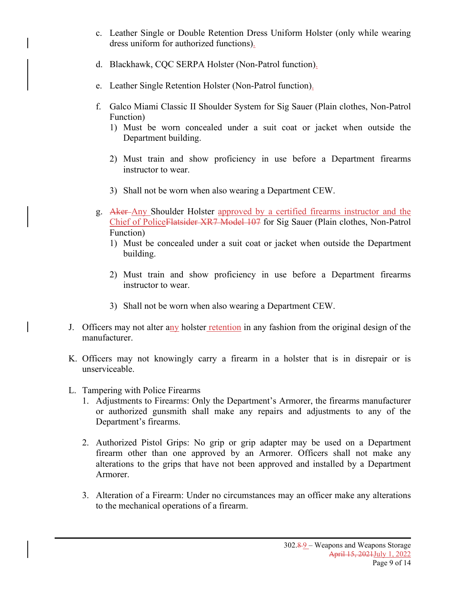- c. Leather Single or Double Retention Dress Uniform Holster (only while wearing dress uniform for authorized functions).
- d. Blackhawk, CQC SERPA Holster (Non-Patrol function).
- e. Leather Single Retention Holster (Non-Patrol function).
- f. Galco Miami Classic II Shoulder System for Sig Sauer (Plain clothes, Non-Patrol Function)
	- 1) Must be worn concealed under a suit coat or jacket when outside the Department building.
	- 2) Must train and show proficiency in use before a Department firearms instructor to wear.
	- 3) Shall not be worn when also wearing a Department CEW.
- g. Aker-Any Shoulder Holster approved by a certified firearms instructor and the Chief of PoliceFlatsider XR7 Model 107 for Sig Sauer (Plain clothes, Non-Patrol Function)
	- 1) Must be concealed under a suit coat or jacket when outside the Department building.
	- 2) Must train and show proficiency in use before a Department firearms instructor to wear.
	- 3) Shall not be worn when also wearing a Department CEW.
- J. Officers may not alter any holster retention in any fashion from the original design of the manufacturer.
- K. Officers may not knowingly carry a firearm in a holster that is in disrepair or is unserviceable.
- L. Tampering with Police Firearms
	- 1. Adjustments to Firearms: Only the Department's Armorer, the firearms manufacturer or authorized gunsmith shall make any repairs and adjustments to any of the Department's firearms.
	- 2. Authorized Pistol Grips: No grip or grip adapter may be used on a Department firearm other than one approved by an Armorer. Officers shall not make any alterations to the grips that have not been approved and installed by a Department Armorer.
	- 3. Alteration of a Firearm: Under no circumstances may an officer make any alterations to the mechanical operations of a firearm.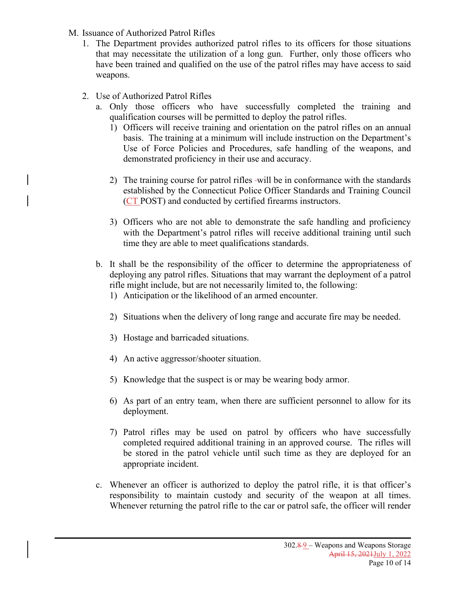- M. Issuance of Authorized Patrol Rifles
	- 1. The Department provides authorized patrol rifles to its officers for those situations that may necessitate the utilization of a long gun. Further, only those officers who have been trained and qualified on the use of the patrol rifles may have access to said weapons.
	- 2. Use of Authorized Patrol Rifles
		- a. Only those officers who have successfully completed the training and qualification courses will be permitted to deploy the patrol rifles.
			- 1) Officers will receive training and orientation on the patrol rifles on an annual basis. The training at a minimum will include instruction on the Department's Use of Force Policies and Procedures, safe handling of the weapons, and demonstrated proficiency in their use and accuracy.
			- 2) The training course for patrol rifles -will be in conformance with the standards established by the Connecticut Police Officer Standards and Training Council (CT POST) and conducted by certified firearms instructors.
			- 3) Officers who are not able to demonstrate the safe handling and proficiency with the Department's patrol rifles will receive additional training until such time they are able to meet qualifications standards.
		- b. It shall be the responsibility of the officer to determine the appropriateness of deploying any patrol rifles. Situations that may warrant the deployment of a patrol rifle might include, but are not necessarily limited to, the following:
			- 1) Anticipation or the likelihood of an armed encounter.
			- 2) Situations when the delivery of long range and accurate fire may be needed.
			- 3) Hostage and barricaded situations.
			- 4) An active aggressor/shooter situation.
			- 5) Knowledge that the suspect is or may be wearing body armor.
			- 6) As part of an entry team, when there are sufficient personnel to allow for its deployment.
			- 7) Patrol rifles may be used on patrol by officers who have successfully completed required additional training in an approved course. The rifles will be stored in the patrol vehicle until such time as they are deployed for an appropriate incident.
		- c. Whenever an officer is authorized to deploy the patrol rifle, it is that officer's responsibility to maintain custody and security of the weapon at all times. Whenever returning the patrol rifle to the car or patrol safe, the officer will render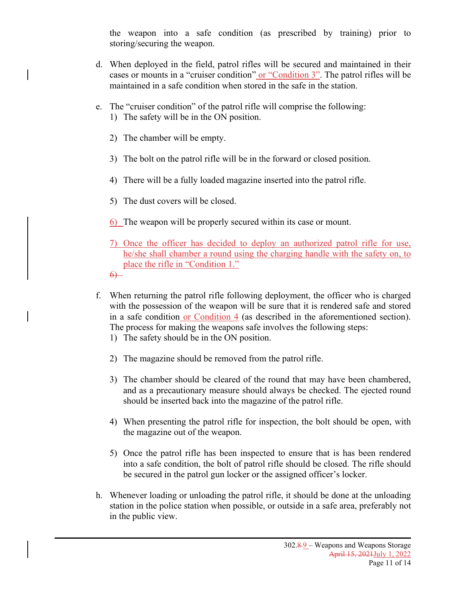the weapon into a safe condition (as prescribed by training) prior to storing/securing the weapon.

- d. When deployed in the field, patrol rifles will be secured and maintained in their cases or mounts in a "cruiser condition" or "Condition 3". The patrol rifles will be maintained in a safe condition when stored in the safe in the station.
- e. The "cruiser condition" of the patrol rifle will comprise the following: 1) The safety will be in the ON position.
	- 2) The chamber will be empty.
	- 3) The bolt on the patrol rifle will be in the forward or closed position.
	- 4) There will be a fully loaded magazine inserted into the patrol rifle.
	- 5) The dust covers will be closed.
	- 6) The weapon will be properly secured within its case or mount.
	- 7) Once the officer has decided to deploy an authorized patrol rifle for use, he/she shall chamber a round using the charging handle with the safety on, to place the rifle in "Condition 1."
	- $6$
- f. When returning the patrol rifle following deployment, the officer who is charged with the possession of the weapon will be sure that it is rendered safe and stored in a safe condition or Condition  $4$  (as described in the aforementioned section). The process for making the weapons safe involves the following steps:
	- 1) The safety should be in the ON position.
	- 2) The magazine should be removed from the patrol rifle.
	- 3) The chamber should be cleared of the round that may have been chambered, and as a precautionary measure should always be checked. The ejected round should be inserted back into the magazine of the patrol rifle.
	- 4) When presenting the patrol rifle for inspection, the bolt should be open, with the magazine out of the weapon.
	- 5) Once the patrol rifle has been inspected to ensure that is has been rendered into a safe condition, the bolt of patrol rifle should be closed. The rifle should be secured in the patrol gun locker or the assigned officer's locker.
- h. Whenever loading or unloading the patrol rifle, it should be done at the unloading station in the police station when possible, or outside in a safe area, preferably not in the public view.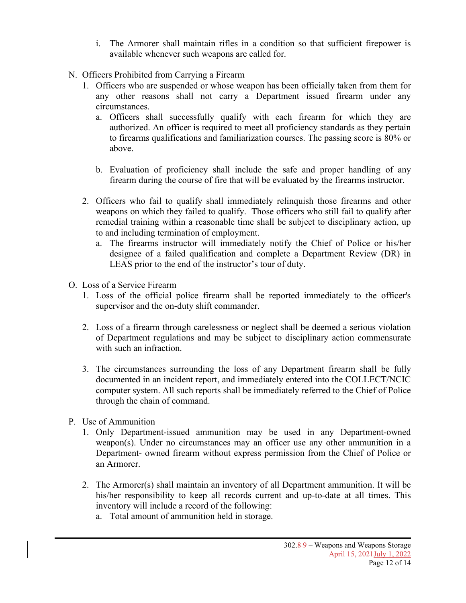- i. The Armorer shall maintain rifles in a condition so that sufficient firepower is available whenever such weapons are called for.
- N. Officers Prohibited from Carrying a Firearm
	- 1. Officers who are suspended or whose weapon has been officially taken from them for any other reasons shall not carry a Department issued firearm under any circumstances.
		- a. Officers shall successfully qualify with each firearm for which they are authorized. An officer is required to meet all proficiency standards as they pertain to firearms qualifications and familiarization courses. The passing score is 80% or above.
		- b. Evaluation of proficiency shall include the safe and proper handling of any firearm during the course of fire that will be evaluated by the firearms instructor.
	- 2. Officers who fail to qualify shall immediately relinquish those firearms and other weapons on which they failed to qualify. Those officers who still fail to qualify after remedial training within a reasonable time shall be subject to disciplinary action, up to and including termination of employment.
		- a. The firearms instructor will immediately notify the Chief of Police or his/her designee of a failed qualification and complete a Department Review (DR) in LEAS prior to the end of the instructor's tour of duty.
- O. Loss of a Service Firearm
	- 1. Loss of the official police firearm shall be reported immediately to the officer's supervisor and the on-duty shift commander.
	- 2. Loss of a firearm through carelessness or neglect shall be deemed a serious violation of Department regulations and may be subject to disciplinary action commensurate with such an infraction.
	- 3. The circumstances surrounding the loss of any Department firearm shall be fully documented in an incident report, and immediately entered into the COLLECT/NCIC computer system. All such reports shall be immediately referred to the Chief of Police through the chain of command.
- P. Use of Ammunition
	- 1. Only Department-issued ammunition may be used in any Department-owned weapon(s). Under no circumstances may an officer use any other ammunition in a Department- owned firearm without express permission from the Chief of Police or an Armorer.
	- 2. The Armorer(s) shall maintain an inventory of all Department ammunition. It will be his/her responsibility to keep all records current and up-to-date at all times. This inventory will include a record of the following:
		- a. Total amount of ammunition held in storage.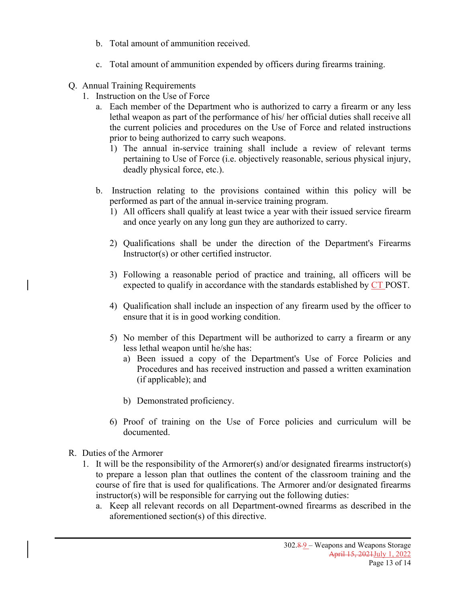- b. Total amount of ammunition received.
- c. Total amount of ammunition expended by officers during firearms training.
- Q. Annual Training Requirements
	- 1. Instruction on the Use of Force
		- a. Each member of the Department who is authorized to carry a firearm or any less lethal weapon as part of the performance of his/ her official duties shall receive all the current policies and procedures on the Use of Force and related instructions prior to being authorized to carry such weapons.
			- 1) The annual in-service training shall include a review of relevant terms pertaining to Use of Force (i.e. objectively reasonable, serious physical injury, deadly physical force, etc.).
		- b. Instruction relating to the provisions contained within this policy will be performed as part of the annual in-service training program.
			- 1) All officers shall qualify at least twice a year with their issued service firearm and once yearly on any long gun they are authorized to carry.
			- 2) Qualifications shall be under the direction of the Department's Firearms Instructor(s) or other certified instructor.
			- 3) Following a reasonable period of practice and training, all officers will be expected to qualify in accordance with the standards established by CT POST.
			- 4) Qualification shall include an inspection of any firearm used by the officer to ensure that it is in good working condition.
			- 5) No member of this Department will be authorized to carry a firearm or any less lethal weapon until he/she has:
				- a) Been issued a copy of the Department's Use of Force Policies and Procedures and has received instruction and passed a written examination (if applicable); and
				- b) Demonstrated proficiency.
			- 6) Proof of training on the Use of Force policies and curriculum will be documented.
- R. Duties of the Armorer
	- 1. It will be the responsibility of the Armorer(s) and/or designated firearms instructor(s) to prepare a lesson plan that outlines the content of the classroom training and the course of fire that is used for qualifications. The Armorer and/or designated firearms instructor(s) will be responsible for carrying out the following duties:
		- a. Keep all relevant records on all Department-owned firearms as described in the aforementioned section(s) of this directive.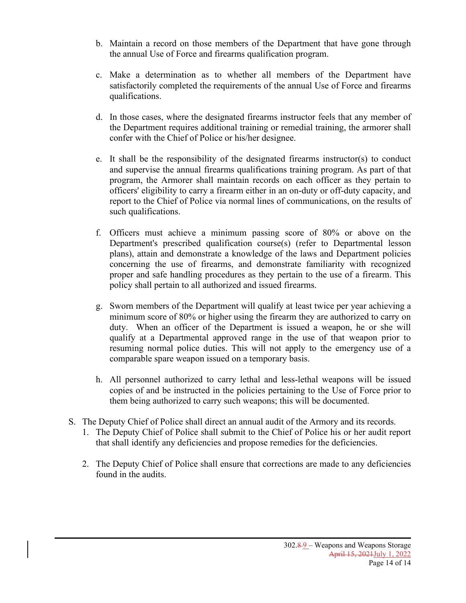- b. Maintain a record on those members of the Department that have gone through the annual Use of Force and firearms qualification program.
- c. Make a determination as to whether all members of the Department have satisfactorily completed the requirements of the annual Use of Force and firearms qualifications.
- d. In those cases, where the designated firearms instructor feels that any member of the Department requires additional training or remedial training, the armorer shall confer with the Chief of Police or his/her designee.
- e. It shall be the responsibility of the designated firearms instructor(s) to conduct and supervise the annual firearms qualifications training program. As part of that program, the Armorer shall maintain records on each officer as they pertain to officers' eligibility to carry a firearm either in an on-duty or off-duty capacity, and report to the Chief of Police via normal lines of communications, on the results of such qualifications.
- f. Officers must achieve a minimum passing score of 80% or above on the Department's prescribed qualification course(s) (refer to Departmental lesson plans), attain and demonstrate a knowledge of the laws and Department policies concerning the use of firearms, and demonstrate familiarity with recognized proper and safe handling procedures as they pertain to the use of a firearm. This policy shall pertain to all authorized and issued firearms.
- g. Sworn members of the Department will qualify at least twice per year achieving a minimum score of 80% or higher using the firearm they are authorized to carry on duty. When an officer of the Department is issued a weapon, he or she will qualify at a Departmental approved range in the use of that weapon prior to resuming normal police duties. This will not apply to the emergency use of a comparable spare weapon issued on a temporary basis.
- h. All personnel authorized to carry lethal and less-lethal weapons will be issued copies of and be instructed in the policies pertaining to the Use of Force prior to them being authorized to carry such weapons; this will be documented.
- S. The Deputy Chief of Police shall direct an annual audit of the Armory and its records.
	- 1. The Deputy Chief of Police shall submit to the Chief of Police his or her audit report that shall identify any deficiencies and propose remedies for the deficiencies.
	- 2. The Deputy Chief of Police shall ensure that corrections are made to any deficiencies found in the audits.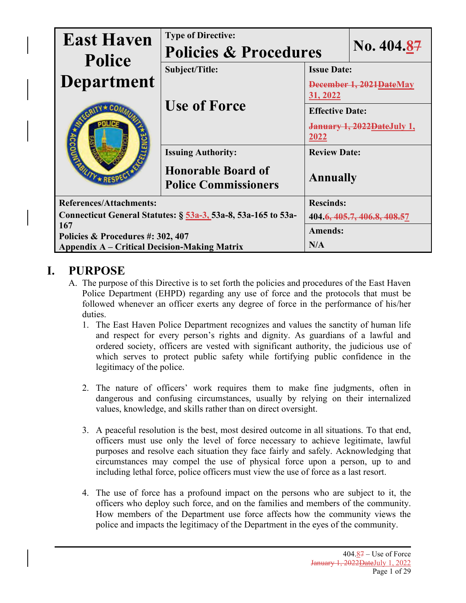| <b>East Haven</b><br><b>Police</b>                            | <b>Type of Directive:</b><br><b>Policies &amp; Procedures</b> |                                      | No. 404.87 |  |
|---------------------------------------------------------------|---------------------------------------------------------------|--------------------------------------|------------|--|
|                                                               | Subject/Title:                                                | <b>Issue Date:</b>                   |            |  |
| Department<br>$V$ $\star$ REST                                | <b>Use of Force</b>                                           | December 1, 2021 DateMay<br>31, 2022 |            |  |
|                                                               |                                                               | <b>Effective Date:</b>               |            |  |
|                                                               |                                                               | January 1, 2022DateJuly 1,<br>2022   |            |  |
|                                                               | <b>Issuing Authority:</b>                                     | <b>Review Date:</b>                  |            |  |
|                                                               | <b>Honorable Board of</b><br><b>Police Commissioners</b>      | <b>Annually</b>                      |            |  |
| <b>References/Attachments:</b>                                |                                                               | <b>Rescinds:</b>                     |            |  |
| Connecticut General Statutes: § 53a-3, 53a-8, 53a-165 to 53a- |                                                               | 404.6, 405.7, 406.8, 408.57          |            |  |
| 167<br>Policies & Procedures #: 302, 407                      |                                                               | <b>Amends:</b>                       |            |  |
| <b>Appendix A – Critical Decision-Making Matrix</b>           |                                                               | N/A                                  |            |  |

### **I. PURPOSE**

- A. The purpose of this Directive is to set forth the policies and procedures of the East Haven Police Department (EHPD) regarding any use of force and the protocols that must be followed whenever an officer exerts any degree of force in the performance of his/her duties.
	- 1. The East Haven Police Department recognizes and values the sanctity of human life and respect for every person's rights and dignity. As guardians of a lawful and ordered society, officers are vested with significant authority, the judicious use of which serves to protect public safety while fortifying public confidence in the legitimacy of the police.
	- 2. The nature of officers' work requires them to make fine judgments, often in dangerous and confusing circumstances, usually by relying on their internalized values, knowledge, and skills rather than on direct oversight.
	- 3. A peaceful resolution is the best, most desired outcome in all situations. To that end, officers must use only the level of force necessary to achieve legitimate, lawful purposes and resolve each situation they face fairly and safely. Acknowledging that circumstances may compel the use of physical force upon a person, up to and including lethal force, police officers must view the use of force as a last resort.
	- 4. The use of force has a profound impact on the persons who are subject to it, the officers who deploy such force, and on the families and members of the community. How members of the Department use force affects how the community views the police and impacts the legitimacy of the Department in the eyes of the community.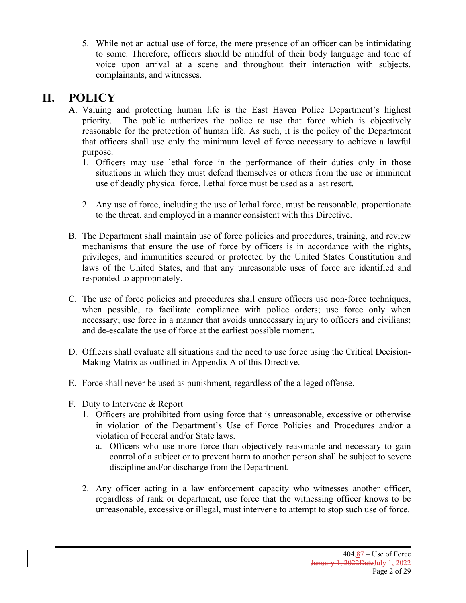5. While not an actual use of force, the mere presence of an officer can be intimidating to some. Therefore, officers should be mindful of their body language and tone of voice upon arrival at a scene and throughout their interaction with subjects, complainants, and witnesses.

## **II. POLICY**

- A. Valuing and protecting human life is the East Haven Police Department's highest priority. The public authorizes the police to use that force which is objectively reasonable for the protection of human life. As such, it is the policy of the Department that officers shall use only the minimum level of force necessary to achieve a lawful purpose.
	- 1. Officers may use lethal force in the performance of their duties only in those situations in which they must defend themselves or others from the use or imminent use of deadly physical force. Lethal force must be used as a last resort.
	- 2. Any use of force, including the use of lethal force, must be reasonable, proportionate to the threat, and employed in a manner consistent with this Directive.
- B. The Department shall maintain use of force policies and procedures, training, and review mechanisms that ensure the use of force by officers is in accordance with the rights, privileges, and immunities secured or protected by the United States Constitution and laws of the United States, and that any unreasonable uses of force are identified and responded to appropriately.
- C. The use of force policies and procedures shall ensure officers use non-force techniques, when possible, to facilitate compliance with police orders; use force only when necessary; use force in a manner that avoids unnecessary injury to officers and civilians; and de-escalate the use of force at the earliest possible moment.
- D. Officers shall evaluate all situations and the need to use force using the Critical Decision-Making Matrix as outlined in Appendix A of this Directive.
- E. Force shall never be used as punishment, regardless of the alleged offense.
- F. Duty to Intervene & Report
	- 1. Officers are prohibited from using force that is unreasonable, excessive or otherwise in violation of the Department's Use of Force Policies and Procedures and/or a violation of Federal and/or State laws.
		- a. Officers who use more force than objectively reasonable and necessary to gain control of a subject or to prevent harm to another person shall be subject to severe discipline and/or discharge from the Department.
	- 2. Any officer acting in a law enforcement capacity who witnesses another officer, regardless of rank or department, use force that the witnessing officer knows to be unreasonable, excessive or illegal, must intervene to attempt to stop such use of force.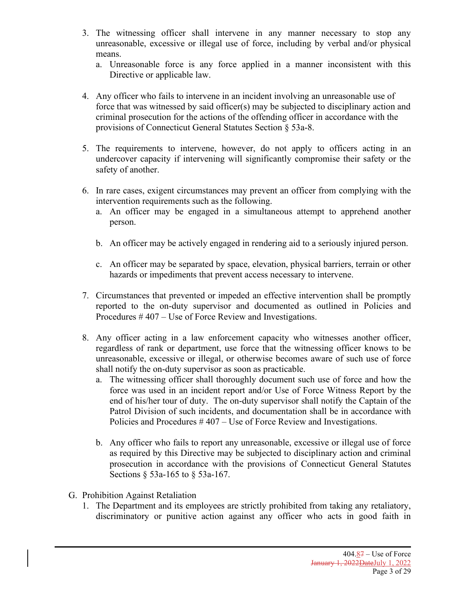- 3. The witnessing officer shall intervene in any manner necessary to stop any unreasonable, excessive or illegal use of force, including by verbal and/or physical means.
	- a. Unreasonable force is any force applied in a manner inconsistent with this Directive or applicable law.
- 4. Any officer who fails to intervene in an incident involving an unreasonable use of force that was witnessed by said officer(s) may be subjected to disciplinary action and criminal prosecution for the actions of the offending officer in accordance with the provisions of Connecticut General Statutes Section § 53a-8.
- 5. The requirements to intervene, however, do not apply to officers acting in an undercover capacity if intervening will significantly compromise their safety or the safety of another.
- 6. In rare cases, exigent circumstances may prevent an officer from complying with the intervention requirements such as the following.
	- a. An officer may be engaged in a simultaneous attempt to apprehend another person.
	- b. An officer may be actively engaged in rendering aid to a seriously injured person.
	- c. An officer may be separated by space, elevation, physical barriers, terrain or other hazards or impediments that prevent access necessary to intervene.
- 7. Circumstances that prevented or impeded an effective intervention shall be promptly reported to the on-duty supervisor and documented as outlined in Policies and Procedures # 407 – Use of Force Review and Investigations.
- 8. Any officer acting in a law enforcement capacity who witnesses another officer, regardless of rank or department, use force that the witnessing officer knows to be unreasonable, excessive or illegal, or otherwise becomes aware of such use of force shall notify the on-duty supervisor as soon as practicable.
	- a. The witnessing officer shall thoroughly document such use of force and how the force was used in an incident report and/or Use of Force Witness Report by the end of his/her tour of duty. The on-duty supervisor shall notify the Captain of the Patrol Division of such incidents, and documentation shall be in accordance with Policies and Procedures # 407 – Use of Force Review and Investigations.
	- b. Any officer who fails to report any unreasonable, excessive or illegal use of force as required by this Directive may be subjected to disciplinary action and criminal prosecution in accordance with the provisions of Connecticut General Statutes Sections § 53a-165 to § 53a-167.
- G. Prohibition Against Retaliation
	- 1. The Department and its employees are strictly prohibited from taking any retaliatory, discriminatory or punitive action against any officer who acts in good faith in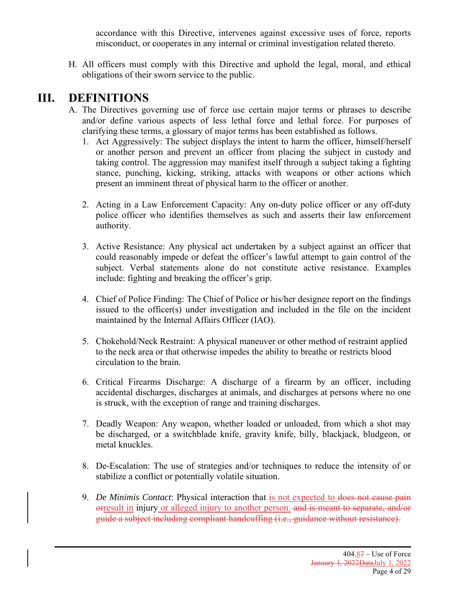accordance with this Directive, intervenes against excessive uses of force, reports misconduct, or cooperates in any internal or criminal investigation related thereto.

H. All officers must comply with this Directive and uphold the legal, moral, and ethical obligations of their sworn service to the public.

### **III. DEFINITIONS**

- A. The Directives governing use of force use certain major terms or phrases to describe and/or define various aspects of less lethal force and lethal force. For purposes of clarifying these terms, a glossary of major terms has been established as follows.
	- 1. Act Aggressively: The subject displays the intent to harm the officer, himself/herself or another person and prevent an officer from placing the subject in custody and taking control. The aggression may manifest itself through a subject taking a fighting stance, punching, kicking, striking, attacks with weapons or other actions which present an imminent threat of physical harm to the officer or another.
	- 2. Acting in a Law Enforcement Capacity: Any on-duty police officer or any off-duty police officer who identifies themselves as such and asserts their law enforcement authority.
	- 3. Active Resistance: Any physical act undertaken by a subject against an officer that could reasonably impede or defeat the officer's lawful attempt to gain control of the subject. Verbal statements alone do not constitute active resistance. Examples include: fighting and breaking the officer's grip.
	- 4. Chief of Police Finding: The Chief of Police or his/her designee report on the findings issued to the officer(s) under investigation and included in the file on the incident maintained by the Internal Affairs Officer (IAO).
	- 5. Chokehold/Neck Restraint: A physical maneuver or other method of restraint applied to the neck area or that otherwise impedes the ability to breathe or restricts blood circulation to the brain.
	- 6. Critical Firearms Discharge: A discharge of a firearm by an officer, including accidental discharges, discharges at animals, and discharges at persons where no one is struck, with the exception of range and training discharges.
	- 7. Deadly Weapon: Any weapon, whether loaded or unloaded, from which a shot may be discharged, or a switchblade knife, gravity knife, billy, blackjack, bludgeon, or metal knuckles.
	- 8. De-Escalation: The use of strategies and/or techniques to reduce the intensity of or stabilize a conflict or potentially volatile situation.
	- 9. *De Minimis Contact*: Physical interaction that is not expected to does not cause pain orresult in injury or alleged injury to another person. and is meant to separate, and/or guide a subject including compliant handcuffing (i.e., guidance without resistance).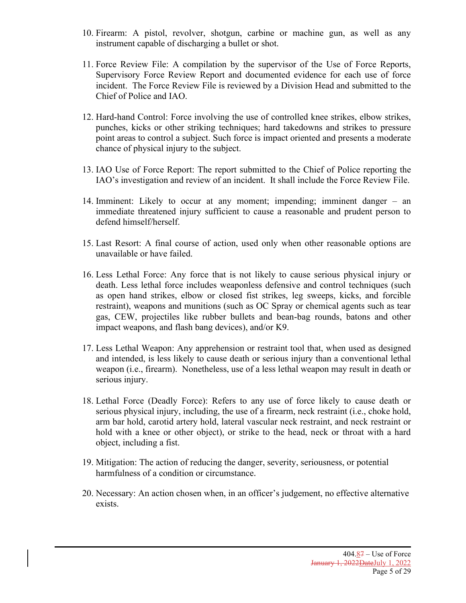- 10. Firearm: A pistol, revolver, shotgun, carbine or machine gun, as well as any instrument capable of discharging a bullet or shot.
- 11. Force Review File: A compilation by the supervisor of the Use of Force Reports, Supervisory Force Review Report and documented evidence for each use of force incident. The Force Review File is reviewed by a Division Head and submitted to the Chief of Police and IAO.
- 12. Hard-hand Control: Force involving the use of controlled knee strikes, elbow strikes, punches, kicks or other striking techniques; hard takedowns and strikes to pressure point areas to control a subject. Such force is impact oriented and presents a moderate chance of physical injury to the subject.
- 13. IAO Use of Force Report: The report submitted to the Chief of Police reporting the IAO's investigation and review of an incident. It shall include the Force Review File.
- 14. Imminent: Likely to occur at any moment; impending; imminent danger an immediate threatened injury sufficient to cause a reasonable and prudent person to defend himself/herself.
- 15. Last Resort: A final course of action, used only when other reasonable options are unavailable or have failed.
- 16. Less Lethal Force: Any force that is not likely to cause serious physical injury or death. Less lethal force includes weaponless defensive and control techniques (such as open hand strikes, elbow or closed fist strikes, leg sweeps, kicks, and forcible restraint), weapons and munitions (such as OC Spray or chemical agents such as tear gas, CEW, projectiles like rubber bullets and bean-bag rounds, batons and other impact weapons, and flash bang devices), and/or K9.
- 17. Less Lethal Weapon: Any apprehension or restraint tool that, when used as designed and intended, is less likely to cause death or serious injury than a conventional lethal weapon (i.e., firearm). Nonetheless, use of a less lethal weapon may result in death or serious injury.
- 18. Lethal Force (Deadly Force): Refers to any use of force likely to cause death or serious physical injury, including, the use of a firearm, neck restraint (i.e., choke hold, arm bar hold, carotid artery hold, lateral vascular neck restraint, and neck restraint or hold with a knee or other object), or strike to the head, neck or throat with a hard object, including a fist.
- 19. Mitigation: The action of reducing the danger, severity, seriousness, or potential harmfulness of a condition or circumstance.
- 20. Necessary: An action chosen when, in an officer's judgement, no effective alternative exists.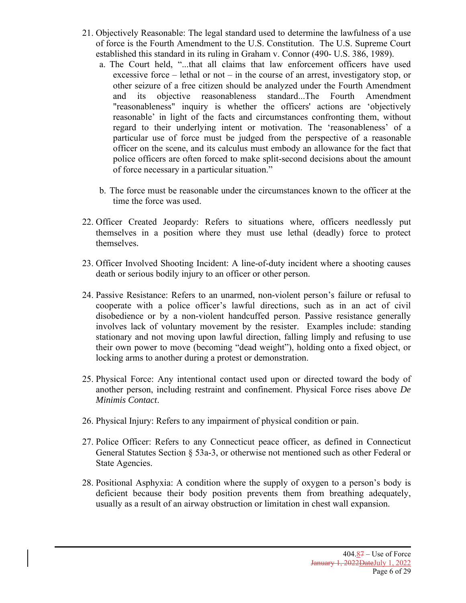- 21. Objectively Reasonable: The legal standard used to determine the lawfulness of a use of force is the Fourth Amendment to the U.S. Constitution. The U.S. Supreme Court established this standard in its ruling in Graham v. Connor (490- U.S. 386, 1989).
	- a. The Court held, "...that all claims that law enforcement officers have used excessive force – lethal or not – in the course of an arrest, investigatory stop, or other seizure of a free citizen should be analyzed under the Fourth Amendment and its objective reasonableness standard...The Fourth Amendment "reasonableness" inquiry is whether the officers' actions are 'objectively reasonable' in light of the facts and circumstances confronting them, without regard to their underlying intent or motivation. The 'reasonableness' of a particular use of force must be judged from the perspective of a reasonable officer on the scene, and its calculus must embody an allowance for the fact that police officers are often forced to make split-second decisions about the amount of force necessary in a particular situation."
	- b. The force must be reasonable under the circumstances known to the officer at the time the force was used.
- 22. Officer Created Jeopardy: Refers to situations where, officers needlessly put themselves in a position where they must use lethal (deadly) force to protect themselves.
- 23. Officer Involved Shooting Incident: A line-of-duty incident where a shooting causes death or serious bodily injury to an officer or other person.
- 24. Passive Resistance: Refers to an unarmed, non-violent person's failure or refusal to cooperate with a police officer's lawful directions, such as in an act of civil disobedience or by a non-violent handcuffed person. Passive resistance generally involves lack of voluntary movement by the resister. Examples include: standing stationary and not moving upon lawful direction, falling limply and refusing to use their own power to move (becoming "dead weight"), holding onto a fixed object, or locking arms to another during a protest or demonstration.
- 25. Physical Force: Any intentional contact used upon or directed toward the body of another person, including restraint and confinement. Physical Force rises above *De Minimis Contact*.
- 26. Physical Injury: Refers to any impairment of physical condition or pain.
- 27. Police Officer: Refers to any Connecticut peace officer, as defined in Connecticut General Statutes Section § 53a-3, or otherwise not mentioned such as other Federal or State Agencies.
- 28. Positional Asphyxia: A condition where the supply of oxygen to a person's body is deficient because their body position prevents them from breathing adequately, usually as a result of an airway obstruction or limitation in chest wall expansion.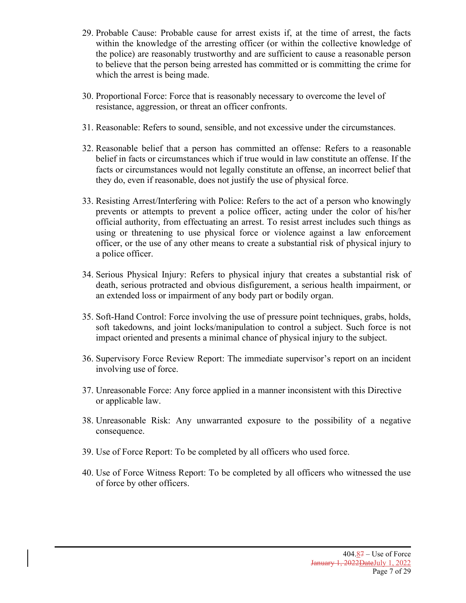- 29. Probable Cause: Probable cause for arrest exists if, at the time of arrest, the facts within the knowledge of the arresting officer (or within the collective knowledge of the police) are reasonably trustworthy and are sufficient to cause a reasonable person to believe that the person being arrested has committed or is committing the crime for which the arrest is being made.
- 30. Proportional Force: Force that is reasonably necessary to overcome the level of resistance, aggression, or threat an officer confronts.
- 31. Reasonable: Refers to sound, sensible, and not excessive under the circumstances.
- 32. Reasonable belief that a person has committed an offense: Refers to a reasonable belief in facts or circumstances which if true would in law constitute an offense. If the facts or circumstances would not legally constitute an offense, an incorrect belief that they do, even if reasonable, does not justify the use of physical force.
- 33. Resisting Arrest/Interfering with Police: Refers to the act of a person who knowingly prevents or attempts to prevent a police officer, acting under the color of his/her official authority, from effectuating an arrest. To resist arrest includes such things as using or threatening to use physical force or violence against a law enforcement officer, or the use of any other means to create a substantial risk of physical injury to a police officer.
- 34. Serious Physical Injury: Refers to physical injury that creates a substantial risk of death, serious protracted and obvious disfigurement, a serious health impairment, or an extended loss or impairment of any body part or bodily organ.
- 35. Soft-Hand Control: Force involving the use of pressure point techniques, grabs, holds, soft takedowns, and joint locks/manipulation to control a subject. Such force is not impact oriented and presents a minimal chance of physical injury to the subject.
- 36. Supervisory Force Review Report: The immediate supervisor's report on an incident involving use of force.
- 37. Unreasonable Force: Any force applied in a manner inconsistent with this Directive or applicable law.
- 38. Unreasonable Risk: Any unwarranted exposure to the possibility of a negative consequence.
- 39. Use of Force Report: To be completed by all officers who used force.
- 40. Use of Force Witness Report: To be completed by all officers who witnessed the use of force by other officers.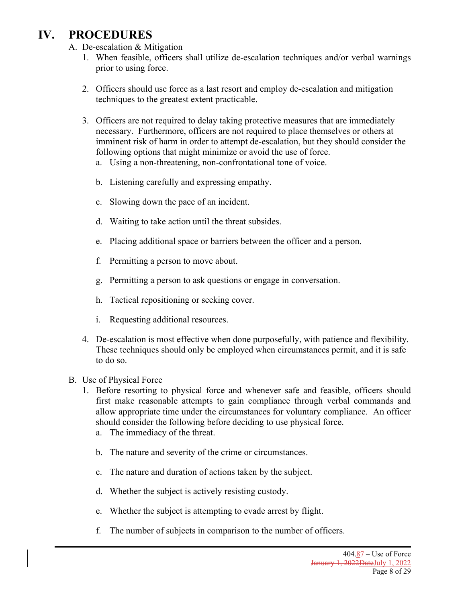# **IV. PROCEDURES**

- A. De-escalation & Mitigation
	- 1. When feasible, officers shall utilize de-escalation techniques and/or verbal warnings prior to using force.
	- 2. Officers should use force as a last resort and employ de-escalation and mitigation techniques to the greatest extent practicable.
	- 3. Officers are not required to delay taking protective measures that are immediately necessary. Furthermore, officers are not required to place themselves or others at imminent risk of harm in order to attempt de-escalation, but they should consider the following options that might minimize or avoid the use of force.
		- a. Using a non-threatening, non-confrontational tone of voice.
		- b. Listening carefully and expressing empathy.
		- c. Slowing down the pace of an incident.
		- d. Waiting to take action until the threat subsides.
		- e. Placing additional space or barriers between the officer and a person.
		- f. Permitting a person to move about.
		- g. Permitting a person to ask questions or engage in conversation.
		- h. Tactical repositioning or seeking cover.
		- i. Requesting additional resources.
	- 4. De-escalation is most effective when done purposefully, with patience and flexibility. These techniques should only be employed when circumstances permit, and it is safe to do so.
- B. Use of Physical Force
	- 1. Before resorting to physical force and whenever safe and feasible, officers should first make reasonable attempts to gain compliance through verbal commands and allow appropriate time under the circumstances for voluntary compliance. An officer should consider the following before deciding to use physical force.
		- a. The immediacy of the threat.
		- b. The nature and severity of the crime or circumstances.
		- c. The nature and duration of actions taken by the subject.
		- d. Whether the subject is actively resisting custody.
		- e. Whether the subject is attempting to evade arrest by flight.
		- f. The number of subjects in comparison to the number of officers.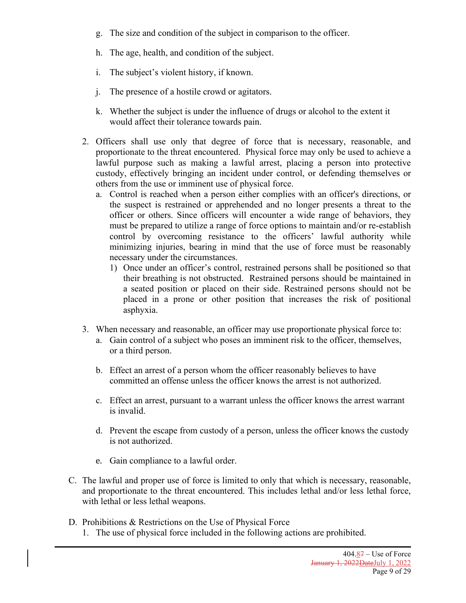- g. The size and condition of the subject in comparison to the officer.
- h. The age, health, and condition of the subject.
- i. The subject's violent history, if known.
- j. The presence of a hostile crowd or agitators.
- k. Whether the subject is under the influence of drugs or alcohol to the extent it would affect their tolerance towards pain.
- 2. Officers shall use only that degree of force that is necessary, reasonable, and proportionate to the threat encountered. Physical force may only be used to achieve a lawful purpose such as making a lawful arrest, placing a person into protective custody, effectively bringing an incident under control, or defending themselves or others from the use or imminent use of physical force.
	- a. Control is reached when a person either complies with an officer's directions, or the suspect is restrained or apprehended and no longer presents a threat to the officer or others. Since officers will encounter a wide range of behaviors, they must be prepared to utilize a range of force options to maintain and/or re-establish control by overcoming resistance to the officers' lawful authority while minimizing injuries, bearing in mind that the use of force must be reasonably necessary under the circumstances.
		- 1) Once under an officer's control, restrained persons shall be positioned so that their breathing is not obstructed. Restrained persons should be maintained in a seated position or placed on their side. Restrained persons should not be placed in a prone or other position that increases the risk of positional asphyxia.
- 3. When necessary and reasonable, an officer may use proportionate physical force to:
	- a. Gain control of a subject who poses an imminent risk to the officer, themselves, or a third person.
	- b. Effect an arrest of a person whom the officer reasonably believes to have committed an offense unless the officer knows the arrest is not authorized.
	- c. Effect an arrest, pursuant to a warrant unless the officer knows the arrest warrant is invalid.
	- d. Prevent the escape from custody of a person, unless the officer knows the custody is not authorized.
	- e. Gain compliance to a lawful order.
- C. The lawful and proper use of force is limited to only that which is necessary, reasonable, and proportionate to the threat encountered. This includes lethal and/or less lethal force, with lethal or less lethal weapons.
- D. Prohibitions & Restrictions on the Use of Physical Force
	- 1. The use of physical force included in the following actions are prohibited.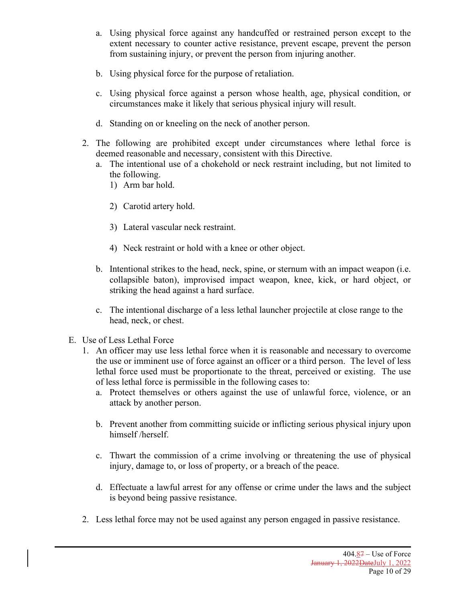- a. Using physical force against any handcuffed or restrained person except to the extent necessary to counter active resistance, prevent escape, prevent the person from sustaining injury, or prevent the person from injuring another.
- b. Using physical force for the purpose of retaliation.
- c. Using physical force against a person whose health, age, physical condition, or circumstances make it likely that serious physical injury will result.
- d. Standing on or kneeling on the neck of another person.
- 2. The following are prohibited except under circumstances where lethal force is deemed reasonable and necessary, consistent with this Directive.
	- a. The intentional use of a chokehold or neck restraint including, but not limited to the following.
		- 1) Arm bar hold.
		- 2) Carotid artery hold.
		- 3) Lateral vascular neck restraint.
		- 4) Neck restraint or hold with a knee or other object.
	- b. Intentional strikes to the head, neck, spine, or sternum with an impact weapon (i.e. collapsible baton), improvised impact weapon, knee, kick, or hard object, or striking the head against a hard surface.
	- c. The intentional discharge of a less lethal launcher projectile at close range to the head, neck, or chest.
- E. Use of Less Lethal Force
	- 1. An officer may use less lethal force when it is reasonable and necessary to overcome the use or imminent use of force against an officer or a third person. The level of less lethal force used must be proportionate to the threat, perceived or existing. The use of less lethal force is permissible in the following cases to:
		- a. Protect themselves or others against the use of unlawful force, violence, or an attack by another person.
		- b. Prevent another from committing suicide or inflicting serious physical injury upon himself /herself.
		- c. Thwart the commission of a crime involving or threatening the use of physical injury, damage to, or loss of property, or a breach of the peace.
		- d. Effectuate a lawful arrest for any offense or crime under the laws and the subject is beyond being passive resistance.
	- 2. Less lethal force may not be used against any person engaged in passive resistance.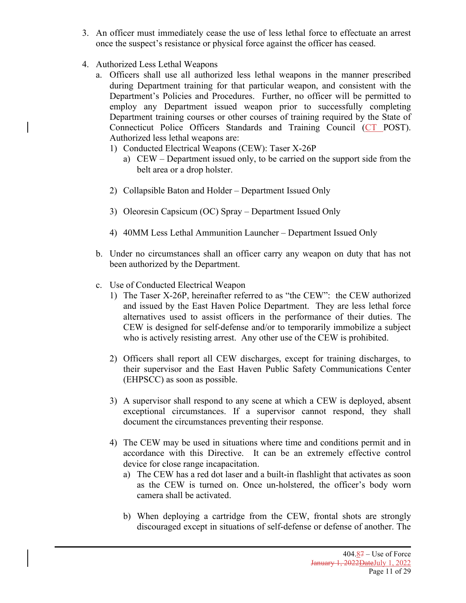- 3. An officer must immediately cease the use of less lethal force to effectuate an arrest once the suspect's resistance or physical force against the officer has ceased.
- 4. Authorized Less Lethal Weapons
	- a. Officers shall use all authorized less lethal weapons in the manner prescribed during Department training for that particular weapon, and consistent with the Department's Policies and Procedures. Further, no officer will be permitted to employ any Department issued weapon prior to successfully completing Department training courses or other courses of training required by the State of Connecticut Police Officers Standards and Training Council (CT POST). Authorized less lethal weapons are:
		- 1) Conducted Electrical Weapons (CEW): Taser X-26P
			- a) CEW Department issued only, to be carried on the support side from the belt area or a drop holster.
		- 2) Collapsible Baton and Holder Department Issued Only
		- 3) Oleoresin Capsicum (OC) Spray Department Issued Only
		- 4) 40MM Less Lethal Ammunition Launcher Department Issued Only
	- b. Under no circumstances shall an officer carry any weapon on duty that has not been authorized by the Department.
	- c. Use of Conducted Electrical Weapon
		- 1) The Taser X-26P, hereinafter referred to as "the CEW": the CEW authorized and issued by the East Haven Police Department. They are less lethal force alternatives used to assist officers in the performance of their duties. The CEW is designed for self-defense and/or to temporarily immobilize a subject who is actively resisting arrest. Any other use of the CEW is prohibited.
		- 2) Officers shall report all CEW discharges, except for training discharges, to their supervisor and the East Haven Public Safety Communications Center (EHPSCC) as soon as possible.
		- 3) A supervisor shall respond to any scene at which a CEW is deployed, absent exceptional circumstances. If a supervisor cannot respond, they shall document the circumstances preventing their response.
		- 4) The CEW may be used in situations where time and conditions permit and in accordance with this Directive. It can be an extremely effective control device for close range incapacitation.
			- a) The CEW has a red dot laser and a built-in flashlight that activates as soon as the CEW is turned on. Once un-holstered, the officer's body worn camera shall be activated.
			- b) When deploying a cartridge from the CEW, frontal shots are strongly discouraged except in situations of self-defense or defense of another. The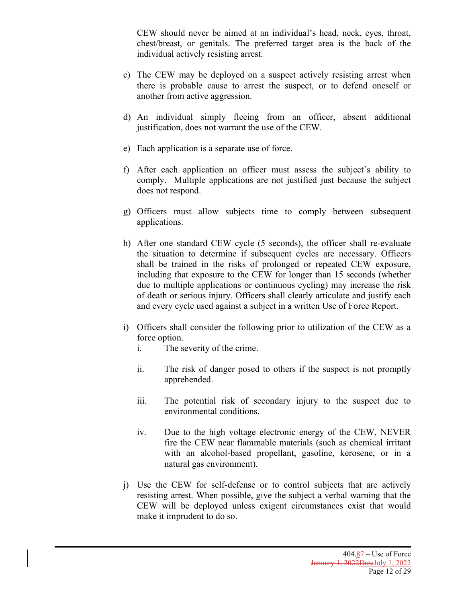CEW should never be aimed at an individual's head, neck, eyes, throat, chest/breast, or genitals. The preferred target area is the back of the individual actively resisting arrest.

- c) The CEW may be deployed on a suspect actively resisting arrest when there is probable cause to arrest the suspect, or to defend oneself or another from active aggression.
- d) An individual simply fleeing from an officer, absent additional justification, does not warrant the use of the CEW.
- e) Each application is a separate use of force.
- f) After each application an officer must assess the subject's ability to comply. Multiple applications are not justified just because the subject does not respond.
- g) Officers must allow subjects time to comply between subsequent applications.
- h) After one standard CEW cycle (5 seconds), the officer shall re-evaluate the situation to determine if subsequent cycles are necessary. Officers shall be trained in the risks of prolonged or repeated CEW exposure, including that exposure to the CEW for longer than 15 seconds (whether due to multiple applications or continuous cycling) may increase the risk of death or serious injury. Officers shall clearly articulate and justify each and every cycle used against a subject in a written Use of Force Report.
- i) Officers shall consider the following prior to utilization of the CEW as a force option.
	- i. The severity of the crime.
	- ii. The risk of danger posed to others if the suspect is not promptly apprehended.
	- iii. The potential risk of secondary injury to the suspect due to environmental conditions.
	- iv. Due to the high voltage electronic energy of the CEW, NEVER fire the CEW near flammable materials (such as chemical irritant with an alcohol-based propellant, gasoline, kerosene, or in a natural gas environment).
- j) Use the CEW for self-defense or to control subjects that are actively resisting arrest. When possible, give the subject a verbal warning that the CEW will be deployed unless exigent circumstances exist that would make it imprudent to do so.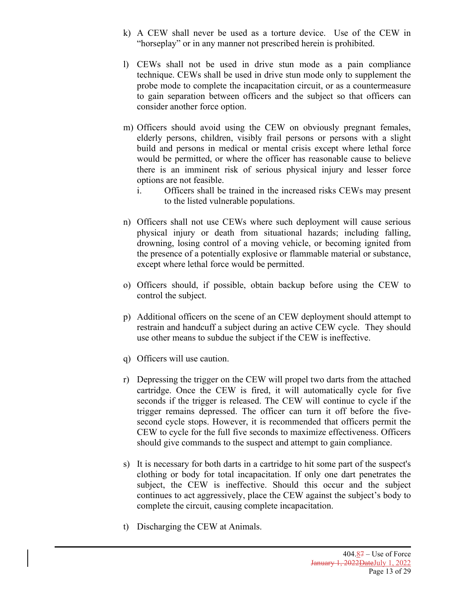- k) A CEW shall never be used as a torture device. Use of the CEW in "horseplay" or in any manner not prescribed herein is prohibited.
- l) CEWs shall not be used in drive stun mode as a pain compliance technique. CEWs shall be used in drive stun mode only to supplement the probe mode to complete the incapacitation circuit, or as a countermeasure to gain separation between officers and the subject so that officers can consider another force option.
- m) Officers should avoid using the CEW on obviously pregnant females, elderly persons, children, visibly frail persons or persons with a slight build and persons in medical or mental crisis except where lethal force would be permitted, or where the officer has reasonable cause to believe there is an imminent risk of serious physical injury and lesser force options are not feasible.
	- i. Officers shall be trained in the increased risks CEWs may present to the listed vulnerable populations.
- n) Officers shall not use CEWs where such deployment will cause serious physical injury or death from situational hazards; including falling, drowning, losing control of a moving vehicle, or becoming ignited from the presence of a potentially explosive or flammable material or substance, except where lethal force would be permitted.
- o) Officers should, if possible, obtain backup before using the CEW to control the subject.
- p) Additional officers on the scene of an CEW deployment should attempt to restrain and handcuff a subject during an active CEW cycle. They should use other means to subdue the subject if the CEW is ineffective.
- q) Officers will use caution.
- r) Depressing the trigger on the CEW will propel two darts from the attached cartridge. Once the CEW is fired, it will automatically cycle for five seconds if the trigger is released. The CEW will continue to cycle if the trigger remains depressed. The officer can turn it off before the fivesecond cycle stops. However, it is recommended that officers permit the CEW to cycle for the full five seconds to maximize effectiveness. Officers should give commands to the suspect and attempt to gain compliance.
- s) It is necessary for both darts in a cartridge to hit some part of the suspect's clothing or body for total incapacitation. If only one dart penetrates the subject, the CEW is ineffective. Should this occur and the subject continues to act aggressively, place the CEW against the subject's body to complete the circuit, causing complete incapacitation.
- t) Discharging the CEW at Animals.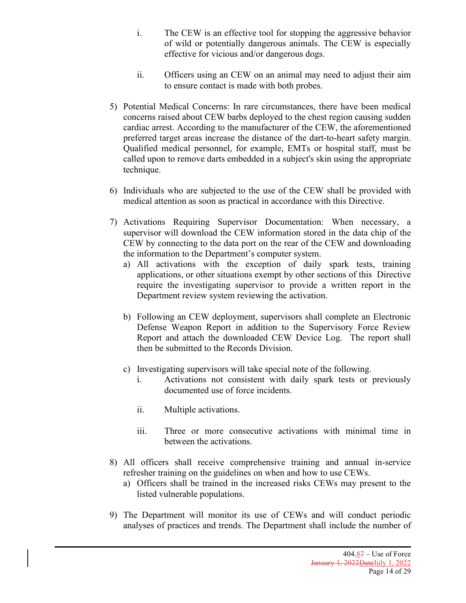- i. The CEW is an effective tool for stopping the aggressive behavior of wild or potentially dangerous animals. The CEW is especially effective for vicious and/or dangerous dogs.
- ii. Officers using an CEW on an animal may need to adjust their aim to ensure contact is made with both probes.
- 5) Potential Medical Concerns: In rare circumstances, there have been medical concerns raised about CEW barbs deployed to the chest region causing sudden cardiac arrest. According to the manufacturer of the CEW, the aforementioned preferred target areas increase the distance of the dart-to-heart safety margin. Qualified medical personnel, for example, EMTs or hospital staff, must be called upon to remove darts embedded in a subject's skin using the appropriate technique.
- 6) Individuals who are subjected to the use of the CEW shall be provided with medical attention as soon as practical in accordance with this Directive.
- 7) Activations Requiring Supervisor Documentation: When necessary, a supervisor will download the CEW information stored in the data chip of the CEW by connecting to the data port on the rear of the CEW and downloading the information to the Department's computer system.
	- a) All activations with the exception of daily spark tests, training applications, or other situations exempt by other sections of this Directive require the investigating supervisor to provide a written report in the Department review system reviewing the activation.
	- b) Following an CEW deployment, supervisors shall complete an Electronic Defense Weapon Report in addition to the Supervisory Force Review Report and attach the downloaded CEW Device Log. The report shall then be submitted to the Records Division.
	- c) Investigating supervisors will take special note of the following.
		- i. Activations not consistent with daily spark tests or previously documented use of force incidents.
		- ii. Multiple activations.
		- iii. Three or more consecutive activations with minimal time in between the activations.
- 8) All officers shall receive comprehensive training and annual in-service refresher training on the guidelines on when and how to use CEWs.
	- a) Officers shall be trained in the increased risks CEWs may present to the listed vulnerable populations.
- 9) The Department will monitor its use of CEWs and will conduct periodic analyses of practices and trends. The Department shall include the number of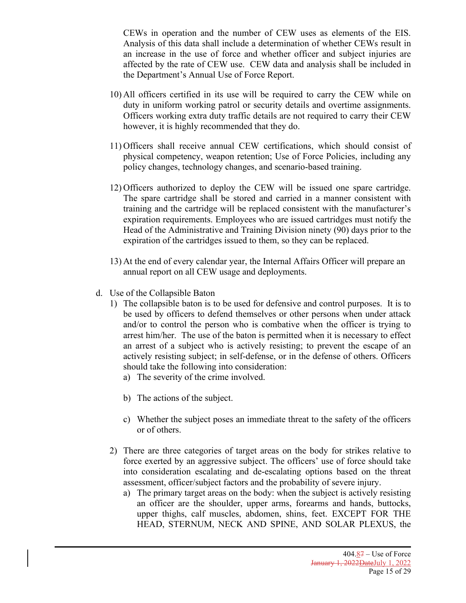CEWs in operation and the number of CEW uses as elements of the EIS. Analysis of this data shall include a determination of whether CEWs result in an increase in the use of force and whether officer and subject injuries are affected by the rate of CEW use. CEW data and analysis shall be included in the Department's Annual Use of Force Report.

- 10) All officers certified in its use will be required to carry the CEW while on duty in uniform working patrol or security details and overtime assignments. Officers working extra duty traffic details are not required to carry their CEW however, it is highly recommended that they do.
- 11) Officers shall receive annual CEW certifications, which should consist of physical competency, weapon retention; Use of Force Policies, including any policy changes, technology changes, and scenario-based training.
- 12) Officers authorized to deploy the CEW will be issued one spare cartridge. The spare cartridge shall be stored and carried in a manner consistent with training and the cartridge will be replaced consistent with the manufacturer's expiration requirements. Employees who are issued cartridges must notify the Head of the Administrative and Training Division ninety (90) days prior to the expiration of the cartridges issued to them, so they can be replaced.
- 13) At the end of every calendar year, the Internal Affairs Officer will prepare an annual report on all CEW usage and deployments.
- d. Use of the Collapsible Baton
	- 1) The collapsible baton is to be used for defensive and control purposes. It is to be used by officers to defend themselves or other persons when under attack and/or to control the person who is combative when the officer is trying to arrest him/her. The use of the baton is permitted when it is necessary to effect an arrest of a subject who is actively resisting; to prevent the escape of an actively resisting subject; in self-defense, or in the defense of others. Officers should take the following into consideration:
		- a) The severity of the crime involved.
		- b) The actions of the subject.
		- c) Whether the subject poses an immediate threat to the safety of the officers or of others.
	- 2) There are three categories of target areas on the body for strikes relative to force exerted by an aggressive subject. The officers' use of force should take into consideration escalating and de-escalating options based on the threat assessment, officer/subject factors and the probability of severe injury.
		- a) The primary target areas on the body: when the subject is actively resisting an officer are the shoulder, upper arms, forearms and hands, buttocks, upper thighs, calf muscles, abdomen, shins, feet. EXCEPT FOR THE HEAD, STERNUM, NECK AND SPINE, AND SOLAR PLEXUS, the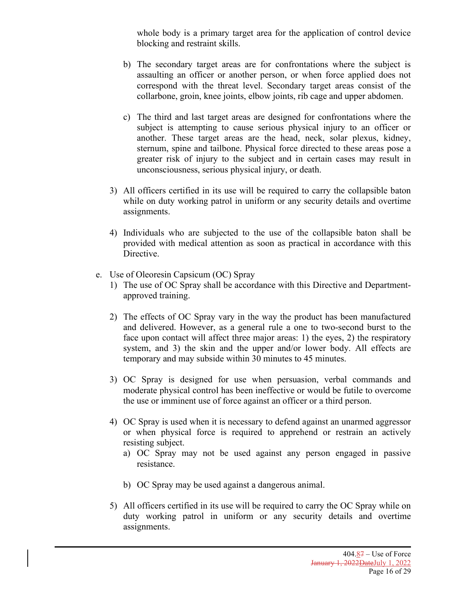whole body is a primary target area for the application of control device blocking and restraint skills.

- b) The secondary target areas are for confrontations where the subject is assaulting an officer or another person, or when force applied does not correspond with the threat level. Secondary target areas consist of the collarbone, groin, knee joints, elbow joints, rib cage and upper abdomen.
- c) The third and last target areas are designed for confrontations where the subject is attempting to cause serious physical injury to an officer or another. These target areas are the head, neck, solar plexus, kidney, sternum, spine and tailbone. Physical force directed to these areas pose a greater risk of injury to the subject and in certain cases may result in unconsciousness, serious physical injury, or death.
- 3) All officers certified in its use will be required to carry the collapsible baton while on duty working patrol in uniform or any security details and overtime assignments.
- 4) Individuals who are subjected to the use of the collapsible baton shall be provided with medical attention as soon as practical in accordance with this Directive.
- e. Use of Oleoresin Capsicum (OC) Spray
	- 1) The use of OC Spray shall be accordance with this Directive and Departmentapproved training.
	- 2) The effects of OC Spray vary in the way the product has been manufactured and delivered. However, as a general rule a one to two-second burst to the face upon contact will affect three major areas: 1) the eyes, 2) the respiratory system, and 3) the skin and the upper and/or lower body. All effects are temporary and may subside within 30 minutes to 45 minutes.
	- 3) OC Spray is designed for use when persuasion, verbal commands and moderate physical control has been ineffective or would be futile to overcome the use or imminent use of force against an officer or a third person.
	- 4) OC Spray is used when it is necessary to defend against an unarmed aggressor or when physical force is required to apprehend or restrain an actively resisting subject.
		- a) OC Spray may not be used against any person engaged in passive resistance.
		- b) OC Spray may be used against a dangerous animal.
	- 5) All officers certified in its use will be required to carry the OC Spray while on duty working patrol in uniform or any security details and overtime assignments.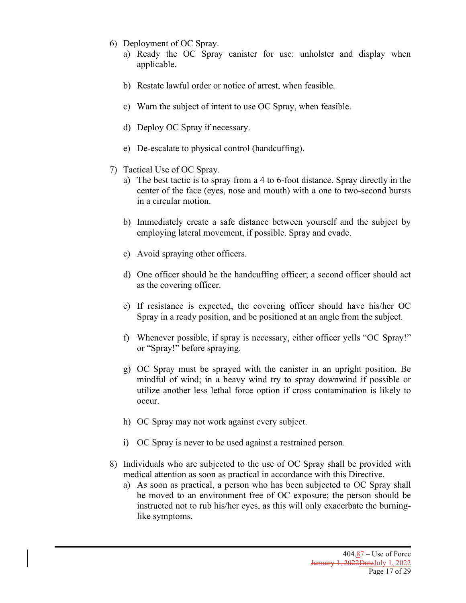- 6) Deployment of OC Spray.
	- a) Ready the OC Spray canister for use: unholster and display when applicable.
	- b) Restate lawful order or notice of arrest, when feasible.
	- c) Warn the subject of intent to use OC Spray, when feasible.
	- d) Deploy OC Spray if necessary.
	- e) De-escalate to physical control (handcuffing).
- 7) Tactical Use of OC Spray.
	- a) The best tactic is to spray from a 4 to 6-foot distance. Spray directly in the center of the face (eyes, nose and mouth) with a one to two-second bursts in a circular motion.
	- b) Immediately create a safe distance between yourself and the subject by employing lateral movement, if possible. Spray and evade.
	- c) Avoid spraying other officers.
	- d) One officer should be the handcuffing officer; a second officer should act as the covering officer.
	- e) If resistance is expected, the covering officer should have his/her OC Spray in a ready position, and be positioned at an angle from the subject.
	- f) Whenever possible, if spray is necessary, either officer yells "OC Spray!" or "Spray!" before spraying.
	- g) OC Spray must be sprayed with the canister in an upright position. Be mindful of wind; in a heavy wind try to spray downwind if possible or utilize another less lethal force option if cross contamination is likely to occur.
	- h) OC Spray may not work against every subject.
	- i) OC Spray is never to be used against a restrained person.
- 8) Individuals who are subjected to the use of OC Spray shall be provided with medical attention as soon as practical in accordance with this Directive.
	- a) As soon as practical, a person who has been subjected to OC Spray shall be moved to an environment free of OC exposure; the person should be instructed not to rub his/her eyes, as this will only exacerbate the burninglike symptoms.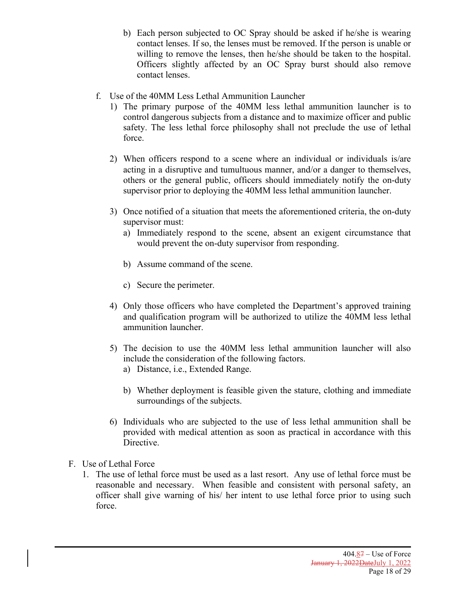- b) Each person subjected to OC Spray should be asked if he/she is wearing contact lenses. If so, the lenses must be removed. If the person is unable or willing to remove the lenses, then he/she should be taken to the hospital. Officers slightly affected by an OC Spray burst should also remove contact lenses.
- f. Use of the 40MM Less Lethal Ammunition Launcher
	- 1) The primary purpose of the 40MM less lethal ammunition launcher is to control dangerous subjects from a distance and to maximize officer and public safety. The less lethal force philosophy shall not preclude the use of lethal force.
	- 2) When officers respond to a scene where an individual or individuals is/are acting in a disruptive and tumultuous manner, and/or a danger to themselves, others or the general public, officers should immediately notify the on-duty supervisor prior to deploying the 40MM less lethal ammunition launcher.
	- 3) Once notified of a situation that meets the aforementioned criteria, the on-duty supervisor must:
		- a) Immediately respond to the scene, absent an exigent circumstance that would prevent the on-duty supervisor from responding.
		- b) Assume command of the scene.
		- c) Secure the perimeter.
	- 4) Only those officers who have completed the Department's approved training and qualification program will be authorized to utilize the 40MM less lethal ammunition launcher.
	- 5) The decision to use the 40MM less lethal ammunition launcher will also include the consideration of the following factors.
		- a) Distance, i.e., Extended Range.
		- b) Whether deployment is feasible given the stature, clothing and immediate surroundings of the subjects.
	- 6) Individuals who are subjected to the use of less lethal ammunition shall be provided with medical attention as soon as practical in accordance with this Directive.
- F. Use of Lethal Force
	- 1. The use of lethal force must be used as a last resort. Any use of lethal force must be reasonable and necessary. When feasible and consistent with personal safety, an officer shall give warning of his/ her intent to use lethal force prior to using such force.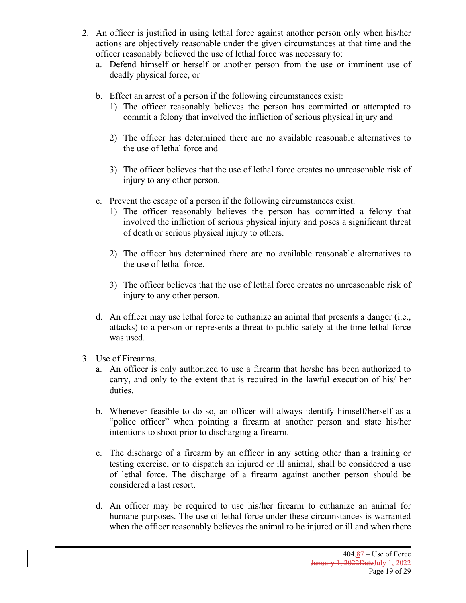- 2. An officer is justified in using lethal force against another person only when his/her actions are objectively reasonable under the given circumstances at that time and the officer reasonably believed the use of lethal force was necessary to:
	- a. Defend himself or herself or another person from the use or imminent use of deadly physical force, or
	- b. Effect an arrest of a person if the following circumstances exist:
		- 1) The officer reasonably believes the person has committed or attempted to commit a felony that involved the infliction of serious physical injury and
		- 2) The officer has determined there are no available reasonable alternatives to the use of lethal force and
		- 3) The officer believes that the use of lethal force creates no unreasonable risk of injury to any other person.
	- c. Prevent the escape of a person if the following circumstances exist.
		- 1) The officer reasonably believes the person has committed a felony that involved the infliction of serious physical injury and poses a significant threat of death or serious physical injury to others.
		- 2) The officer has determined there are no available reasonable alternatives to the use of lethal force.
		- 3) The officer believes that the use of lethal force creates no unreasonable risk of injury to any other person.
	- d. An officer may use lethal force to euthanize an animal that presents a danger (i.e., attacks) to a person or represents a threat to public safety at the time lethal force was used.
- 3. Use of Firearms.
	- a. An officer is only authorized to use a firearm that he/she has been authorized to carry, and only to the extent that is required in the lawful execution of his/ her duties.
	- b. Whenever feasible to do so, an officer will always identify himself/herself as a "police officer" when pointing a firearm at another person and state his/her intentions to shoot prior to discharging a firearm.
	- c. The discharge of a firearm by an officer in any setting other than a training or testing exercise, or to dispatch an injured or ill animal, shall be considered a use of lethal force. The discharge of a firearm against another person should be considered a last resort.
	- d. An officer may be required to use his/her firearm to euthanize an animal for humane purposes. The use of lethal force under these circumstances is warranted when the officer reasonably believes the animal to be injured or ill and when there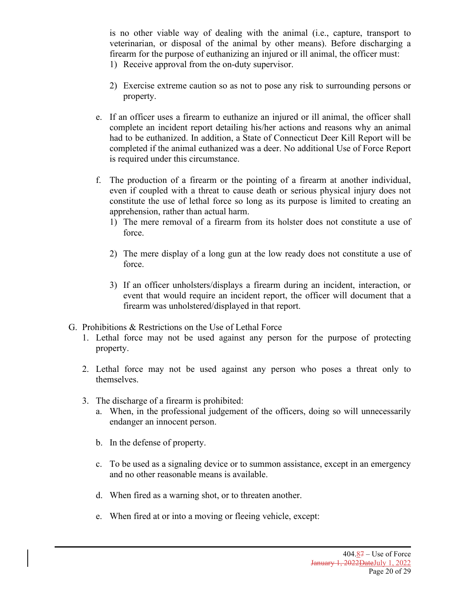is no other viable way of dealing with the animal (i.e., capture, transport to veterinarian, or disposal of the animal by other means). Before discharging a firearm for the purpose of euthanizing an injured or ill animal, the officer must: 1) Receive approval from the on-duty supervisor.

- 
- 2) Exercise extreme caution so as not to pose any risk to surrounding persons or property.
- e. If an officer uses a firearm to euthanize an injured or ill animal, the officer shall complete an incident report detailing his/her actions and reasons why an animal had to be euthanized. In addition, a State of Connecticut Deer Kill Report will be completed if the animal euthanized was a deer. No additional Use of Force Report is required under this circumstance.
- f. The production of a firearm or the pointing of a firearm at another individual, even if coupled with a threat to cause death or serious physical injury does not constitute the use of lethal force so long as its purpose is limited to creating an apprehension, rather than actual harm.
	- 1) The mere removal of a firearm from its holster does not constitute a use of force.
	- 2) The mere display of a long gun at the low ready does not constitute a use of force.
	- 3) If an officer unholsters/displays a firearm during an incident, interaction, or event that would require an incident report, the officer will document that a firearm was unholstered/displayed in that report.
- G. Prohibitions & Restrictions on the Use of Lethal Force
	- 1. Lethal force may not be used against any person for the purpose of protecting property.
	- 2. Lethal force may not be used against any person who poses a threat only to themselves.
	- 3. The discharge of a firearm is prohibited:
		- a. When, in the professional judgement of the officers, doing so will unnecessarily endanger an innocent person.
		- b. In the defense of property.
		- c. To be used as a signaling device or to summon assistance, except in an emergency and no other reasonable means is available.
		- d. When fired as a warning shot, or to threaten another.
		- e. When fired at or into a moving or fleeing vehicle, except: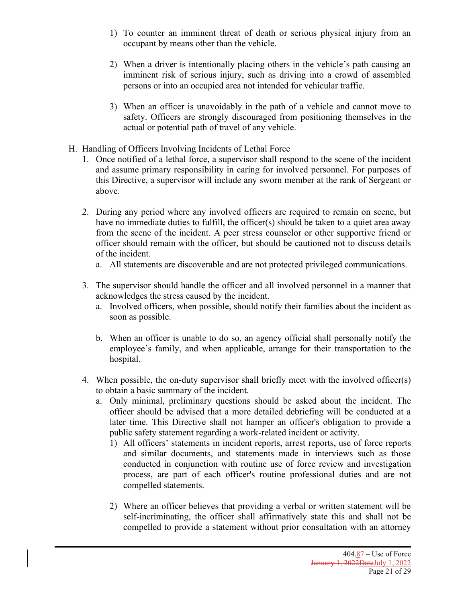- 1) To counter an imminent threat of death or serious physical injury from an occupant by means other than the vehicle.
- 2) When a driver is intentionally placing others in the vehicle's path causing an imminent risk of serious injury, such as driving into a crowd of assembled persons or into an occupied area not intended for vehicular traffic.
- 3) When an officer is unavoidably in the path of a vehicle and cannot move to safety. Officers are strongly discouraged from positioning themselves in the actual or potential path of travel of any vehicle.
- H. Handling of Officers Involving Incidents of Lethal Force
	- 1. Once notified of a lethal force, a supervisor shall respond to the scene of the incident and assume primary responsibility in caring for involved personnel. For purposes of this Directive, a supervisor will include any sworn member at the rank of Sergeant or above.
	- 2. During any period where any involved officers are required to remain on scene, but have no immediate duties to fulfill, the officer(s) should be taken to a quiet area away from the scene of the incident. A peer stress counselor or other supportive friend or officer should remain with the officer, but should be cautioned not to discuss details of the incident.
		- a. All statements are discoverable and are not protected privileged communications.
	- 3. The supervisor should handle the officer and all involved personnel in a manner that acknowledges the stress caused by the incident.
		- a. Involved officers, when possible, should notify their families about the incident as soon as possible.
		- b. When an officer is unable to do so, an agency official shall personally notify the employee's family, and when applicable, arrange for their transportation to the hospital.
	- 4. When possible, the on-duty supervisor shall briefly meet with the involved officer(s) to obtain a basic summary of the incident.
		- a. Only minimal, preliminary questions should be asked about the incident. The officer should be advised that a more detailed debriefing will be conducted at a later time. This Directive shall not hamper an officer's obligation to provide a public safety statement regarding a work-related incident or activity.
			- 1) All officers' statements in incident reports, arrest reports, use of force reports and similar documents, and statements made in interviews such as those conducted in conjunction with routine use of force review and investigation process, are part of each officer's routine professional duties and are not compelled statements.
			- 2) Where an officer believes that providing a verbal or written statement will be self-incriminating, the officer shall affirmatively state this and shall not be compelled to provide a statement without prior consultation with an attorney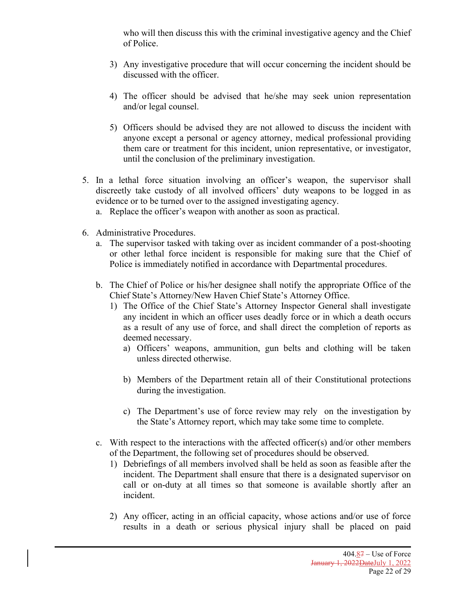who will then discuss this with the criminal investigative agency and the Chief of Police.

- 3) Any investigative procedure that will occur concerning the incident should be discussed with the officer.
- 4) The officer should be advised that he/she may seek union representation and/or legal counsel.
- 5) Officers should be advised they are not allowed to discuss the incident with anyone except a personal or agency attorney, medical professional providing them care or treatment for this incident, union representative, or investigator, until the conclusion of the preliminary investigation.
- 5. In a lethal force situation involving an officer's weapon, the supervisor shall discreetly take custody of all involved officers' duty weapons to be logged in as evidence or to be turned over to the assigned investigating agency.
	- a. Replace the officer's weapon with another as soon as practical.
- 6. Administrative Procedures.
	- a. The supervisor tasked with taking over as incident commander of a post-shooting or other lethal force incident is responsible for making sure that the Chief of Police is immediately notified in accordance with Departmental procedures.
	- b. The Chief of Police or his/her designee shall notify the appropriate Office of the Chief State's Attorney/New Haven Chief State's Attorney Office.
		- 1) The Office of the Chief State's Attorney Inspector General shall investigate any incident in which an officer uses deadly force or in which a death occurs as a result of any use of force, and shall direct the completion of reports as deemed necessary.
			- a) Officers' weapons, ammunition, gun belts and clothing will be taken unless directed otherwise.
			- b) Members of the Department retain all of their Constitutional protections during the investigation.
			- c) The Department's use of force review may rely on the investigation by the State's Attorney report, which may take some time to complete.
	- c. With respect to the interactions with the affected officer(s) and/or other members of the Department, the following set of procedures should be observed.
		- 1) Debriefings of all members involved shall be held as soon as feasible after the incident. The Department shall ensure that there is a designated supervisor on call or on-duty at all times so that someone is available shortly after an incident.
		- 2) Any officer, acting in an official capacity, whose actions and/or use of force results in a death or serious physical injury shall be placed on paid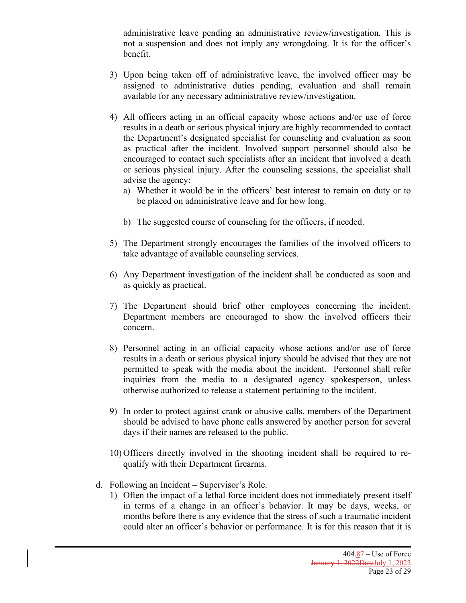administrative leave pending an administrative review/investigation. This is not a suspension and does not imply any wrongdoing. It is for the officer's benefit.

- 3) Upon being taken off of administrative leave, the involved officer may be assigned to administrative duties pending, evaluation and shall remain available for any necessary administrative review/investigation.
- 4) All officers acting in an official capacity whose actions and/or use of force results in a death or serious physical injury are highly recommended to contact the Department's designated specialist for counseling and evaluation as soon as practical after the incident. Involved support personnel should also be encouraged to contact such specialists after an incident that involved a death or serious physical injury. After the counseling sessions, the specialist shall advise the agency:
	- a) Whether it would be in the officers' best interest to remain on duty or to be placed on administrative leave and for how long.
	- b) The suggested course of counseling for the officers, if needed.
- 5) The Department strongly encourages the families of the involved officers to take advantage of available counseling services.
- 6) Any Department investigation of the incident shall be conducted as soon and as quickly as practical.
- 7) The Department should brief other employees concerning the incident. Department members are encouraged to show the involved officers their concern.
- 8) Personnel acting in an official capacity whose actions and/or use of force results in a death or serious physical injury should be advised that they are not permitted to speak with the media about the incident. Personnel shall refer inquiries from the media to a designated agency spokesperson, unless otherwise authorized to release a statement pertaining to the incident.
- 9) In order to protect against crank or abusive calls, members of the Department should be advised to have phone calls answered by another person for several days if their names are released to the public.
- 10) Officers directly involved in the shooting incident shall be required to requalify with their Department firearms.
- d. Following an Incident Supervisor's Role.
	- 1) Often the impact of a lethal force incident does not immediately present itself in terms of a change in an officer's behavior. It may be days, weeks, or months before there is any evidence that the stress of such a traumatic incident could alter an officer's behavior or performance. It is for this reason that it is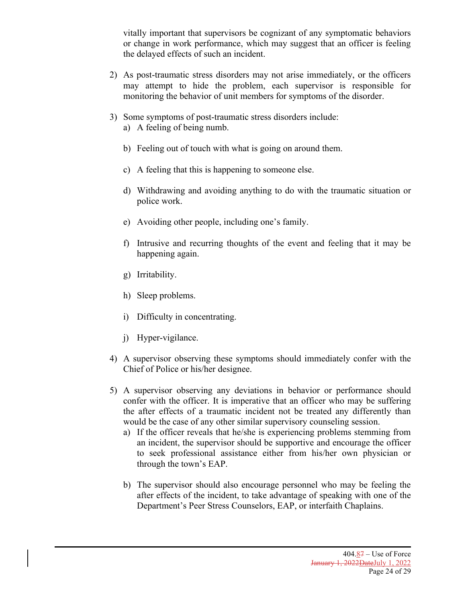vitally important that supervisors be cognizant of any symptomatic behaviors or change in work performance, which may suggest that an officer is feeling the delayed effects of such an incident.

- 2) As post-traumatic stress disorders may not arise immediately, or the officers may attempt to hide the problem, each supervisor is responsible for monitoring the behavior of unit members for symptoms of the disorder.
- 3) Some symptoms of post-traumatic stress disorders include:
	- a) A feeling of being numb.
	- b) Feeling out of touch with what is going on around them.
	- c) A feeling that this is happening to someone else.
	- d) Withdrawing and avoiding anything to do with the traumatic situation or police work.
	- e) Avoiding other people, including one's family.
	- f) Intrusive and recurring thoughts of the event and feeling that it may be happening again.
	- g) Irritability.
	- h) Sleep problems.
	- i) Difficulty in concentrating.
	- j) Hyper-vigilance.
- 4) A supervisor observing these symptoms should immediately confer with the Chief of Police or his/her designee.
- 5) A supervisor observing any deviations in behavior or performance should confer with the officer. It is imperative that an officer who may be suffering the after effects of a traumatic incident not be treated any differently than would be the case of any other similar supervisory counseling session.
	- a) If the officer reveals that he/she is experiencing problems stemming from an incident, the supervisor should be supportive and encourage the officer to seek professional assistance either from his/her own physician or through the town's EAP.
	- b) The supervisor should also encourage personnel who may be feeling the after effects of the incident, to take advantage of speaking with one of the Department's Peer Stress Counselors, EAP, or interfaith Chaplains.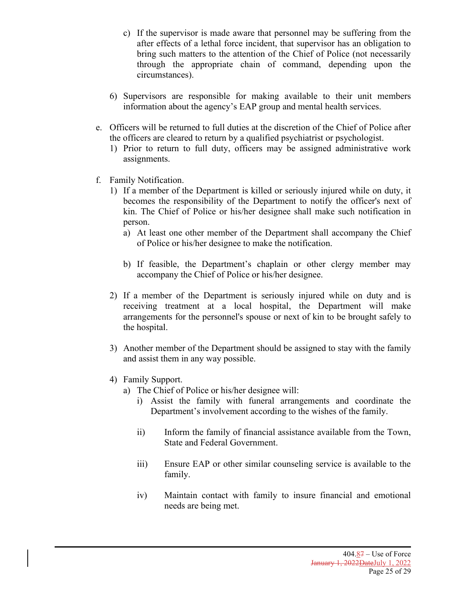- c) If the supervisor is made aware that personnel may be suffering from the after effects of a lethal force incident, that supervisor has an obligation to bring such matters to the attention of the Chief of Police (not necessarily through the appropriate chain of command, depending upon the circumstances).
- 6) Supervisors are responsible for making available to their unit members information about the agency's EAP group and mental health services.
- e. Officers will be returned to full duties at the discretion of the Chief of Police after the officers are cleared to return by a qualified psychiatrist or psychologist.
	- 1) Prior to return to full duty, officers may be assigned administrative work assignments.
- f. Family Notification.
	- 1) If a member of the Department is killed or seriously injured while on duty, it becomes the responsibility of the Department to notify the officer's next of kin. The Chief of Police or his/her designee shall make such notification in person.
		- a) At least one other member of the Department shall accompany the Chief of Police or his/her designee to make the notification.
		- b) If feasible, the Department's chaplain or other clergy member may accompany the Chief of Police or his/her designee.
	- 2) If a member of the Department is seriously injured while on duty and is receiving treatment at a local hospital, the Department will make arrangements for the personnel's spouse or next of kin to be brought safely to the hospital.
	- 3) Another member of the Department should be assigned to stay with the family and assist them in any way possible.
	- 4) Family Support.
		- a) The Chief of Police or his/her designee will:
			- i) Assist the family with funeral arrangements and coordinate the Department's involvement according to the wishes of the family.
			- ii) Inform the family of financial assistance available from the Town, State and Federal Government.
			- iii) Ensure EAP or other similar counseling service is available to the family.
			- iv) Maintain contact with family to insure financial and emotional needs are being met.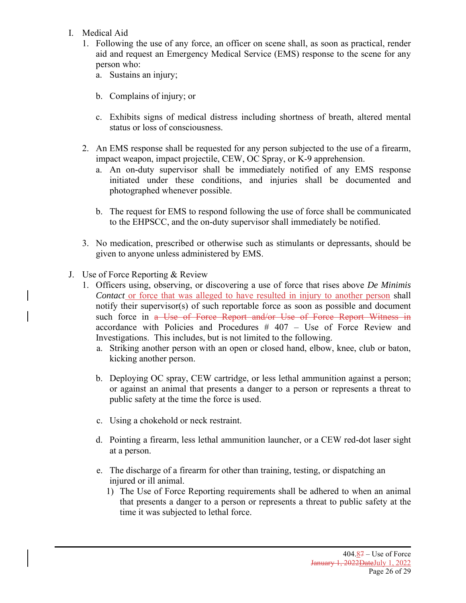- I. Medical Aid
	- 1. Following the use of any force, an officer on scene shall, as soon as practical, render aid and request an Emergency Medical Service (EMS) response to the scene for any person who:
		- a. Sustains an injury;
		- b. Complains of injury; or
		- c. Exhibits signs of medical distress including shortness of breath, altered mental status or loss of consciousness.
	- 2. An EMS response shall be requested for any person subjected to the use of a firearm, impact weapon, impact projectile, CEW, OC Spray, or K-9 apprehension.
		- a. An on-duty supervisor shall be immediately notified of any EMS response initiated under these conditions, and injuries shall be documented and photographed whenever possible.
		- b. The request for EMS to respond following the use of force shall be communicated to the EHPSCC, and the on-duty supervisor shall immediately be notified.
	- 3. No medication, prescribed or otherwise such as stimulants or depressants, should be given to anyone unless administered by EMS.
- J. Use of Force Reporting & Review
	- 1. Officers using, observing, or discovering a use of force that rises above *De Minimis Contact* or force that was alleged to have resulted in injury to another person shall notify their supervisor(s) of such reportable force as soon as possible and document such force in a Use of Force Report and/or Use of Force Report Witness in accordance with Policies and Procedures # 407 – Use of Force Review and Investigations. This includes, but is not limited to the following.
		- a. Striking another person with an open or closed hand, elbow, knee, club or baton, kicking another person.
		- b. Deploying OC spray, CEW cartridge, or less lethal ammunition against a person; or against an animal that presents a danger to a person or represents a threat to public safety at the time the force is used.
		- c. Using a chokehold or neck restraint.
		- d. Pointing a firearm, less lethal ammunition launcher, or a CEW red-dot laser sight at a person.
		- e. The discharge of a firearm for other than training, testing, or dispatching an injured or ill animal.
			- 1) The Use of Force Reporting requirements shall be adhered to when an animal that presents a danger to a person or represents a threat to public safety at the time it was subjected to lethal force.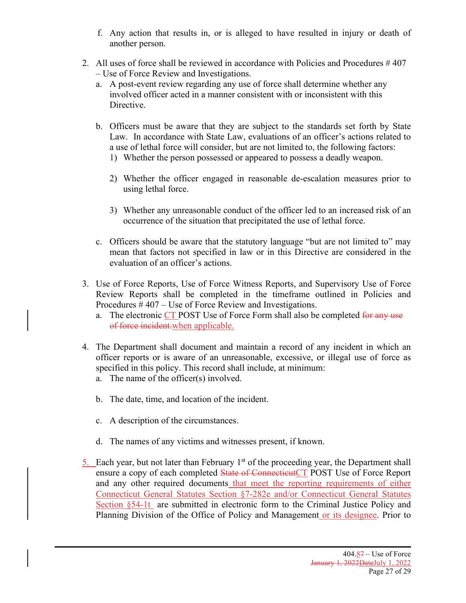- f. Any action that results in, or is alleged to have resulted in injury or death of another person.
- 2. All uses of force shall be reviewed in accordance with Policies and Procedures # 407 – Use of Force Review and Investigations.
	- a. A post-event review regarding any use of force shall determine whether any involved officer acted in a manner consistent with or inconsistent with this Directive.
	- b. Officers must be aware that they are subject to the standards set forth by State Law. In accordance with State Law, evaluations of an officer's actions related to a use of lethal force will consider, but are not limited to, the following factors: 1) Whether the person possessed or appeared to possess a deadly weapon.
		- 2) Whether the officer engaged in reasonable de-escalation measures prior to using lethal force.
		- 3) Whether any unreasonable conduct of the officer led to an increased risk of an occurrence of the situation that precipitated the use of lethal force.
	- c. Officers should be aware that the statutory language "but are not limited to" may mean that factors not specified in law or in this Directive are considered in the evaluation of an officer's actions.
- 3. Use of Force Reports, Use of Force Witness Reports, and Supervisory Use of Force Review Reports shall be completed in the timeframe outlined in Policies and Procedures # 407 – Use of Force Review and Investigations.
	- a. The electronic CT POST Use of Force Form shall also be completed for any use of force incident.when applicable.
- 4. The Department shall document and maintain a record of any incident in which an officer reports or is aware of an unreasonable, excessive, or illegal use of force as specified in this policy. This record shall include, at minimum:
	- a. The name of the officer(s) involved.
	- b. The date, time, and location of the incident.
	- c. A description of the circumstances.
	- d. The names of any victims and witnesses present, if known.
- 5. Each year, but not later than February  $1<sup>st</sup>$  of the proceeding year, the Department shall ensure a copy of each completed State of ConnecticutCT POST Use of Force Report and any other required documents that meet the reporting requirements of either Connecticut General Statutes Section §7-282e and/or Connecticut General Statutes Section §54-1t are submitted in electronic form to the Criminal Justice Policy and Planning Division of the Office of Policy and Management or its designee. Prior to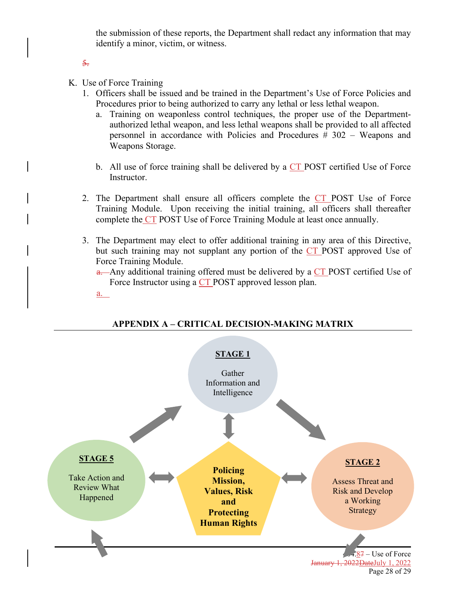the submission of these reports, the Department shall redact any information that may identify a minor, victim, or witness.

5.

K. Use of Force Training

a.

- 1. Officers shall be issued and be trained in the Department's Use of Force Policies and Procedures prior to being authorized to carry any lethal or less lethal weapon.
	- a. Training on weaponless control techniques, the proper use of the Departmentauthorized lethal weapon, and less lethal weapons shall be provided to all affected personnel in accordance with Policies and Procedures # 302 – Weapons and Weapons Storage.
	- b. All use of force training shall be delivered by a  $CT$  POST certified Use of Force Instructor.
- 2. The Department shall ensure all officers complete the CT POST Use of Force Training Module. Upon receiving the initial training, all officers shall thereafter complete the CT POST Use of Force Training Module at least once annually.
- 3. The Department may elect to offer additional training in any area of this Directive, but such training may not supplant any portion of the CT POST approved Use of Force Training Module.

a. Any additional training offered must be delivered by a CT POST certified Use of Force Instructor using a CT POST approved lesson plan.

### **APPENDIX A – CRITICAL DECISION-MAKING MATRIX**

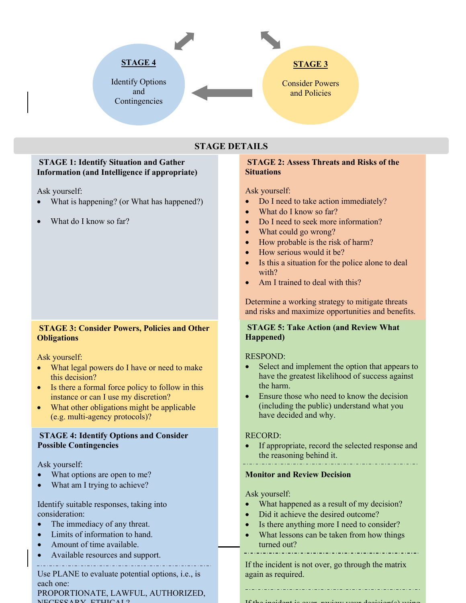

## **STAGE DETAILS**

### **STAGE 1: Identify Situation and Gather Information (and Intelligence if appropriate)**

Ask yourself:

- What is happening? (or What has happened?)
- What do I know so far?

### **STAGE 3: Consider Powers, Policies and Other Obligations**

Ask yourself:

- What legal powers do I have or need to make this decision?
- Is there a formal force policy to follow in this instance or can I use my discretion?
- What other obligations might be applicable (e.g. multi-agency protocols)?

### **STAGE 4: Identify Options and Consider Possible Contingencies**

Ask yourself:

- What options are open to me?
- What am I trying to achieve?

Identify suitable responses, taking into consideration:

- The immediacy of any threat.
- Limits of information to hand.
- Amount of time available.
- Available resources and support.

Use PLANE to evaluate potential options, i.e., is each one:

PROPORTIONATE, LAWFUL, AUTHORIZED, NECESSARY, ETHICAL?

### **STAGE 2: Assess Threats and Risks of the Situations**

Ask yourself:

- Do I need to take action immediately?
- What do I know so far?
- Do I need to seek more information?
- What could go wrong?
- How probable is the risk of harm?
- How serious would it be?
- Is this a situation for the police alone to deal with?
- Am I trained to deal with this?

Determine a working strategy to mitigate threats and risks and maximize opportunities and benefits.

### **STAGE 5: Take Action (and Review What Happened)**

### RESPOND:

- Select and implement the option that appears to have the greatest likelihood of success against the harm.
- Ensure those who need to know the decision (including the public) understand what you have decided and why.

### RECORD:

• If appropriate, record the selected response and the reasoning behind it.

### **Monitor and Review Decision**

Ask yourself:

- What happened as a result of my decision?
- Did it achieve the desired outcome?
- Is there anything more I need to consider?
- What lessons can be taken from how things turned out?

If the incident is not over, go through the matrix again as required.

 $\mathbf{I} \mathbf{f}$  the incident is over, review  $\mathbf{f}$ 

 $+$  ,  $-$  ,  $-$  ,  $-$  ,  $-$  ,  $-$  ,  $-$  ,  $-$  ,  $-$  ,  $-$  ,  $-$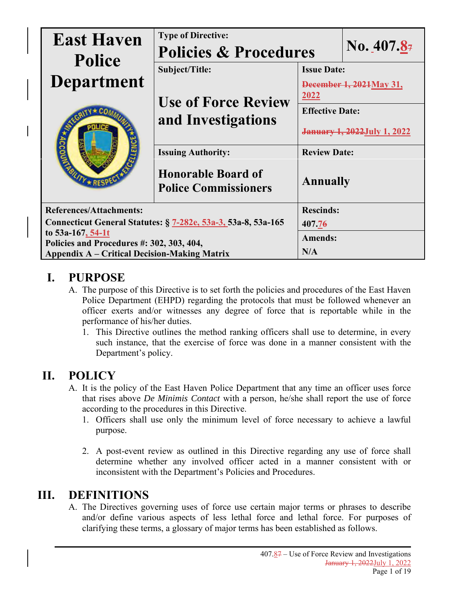| <b>East Haven</b><br><b>Police</b>                             | <b>Type of Directive:</b><br><b>Policies &amp; Procedures</b> |                                     | No. $407.84$       |  |
|----------------------------------------------------------------|---------------------------------------------------------------|-------------------------------------|--------------------|--|
|                                                                | Subject/Title:                                                |                                     | <b>Issue Date:</b> |  |
| <b>Department</b>                                              |                                                               | December 1, 2021 May 31,            |                    |  |
| $\overline{K}$ RES                                             | <b>Use of Force Review</b>                                    | <u> 2022 </u>                       |                    |  |
|                                                                | and Investigations                                            | <b>Effective Date:</b>              |                    |  |
|                                                                |                                                               | <b>January 1, 2022 July 1, 2022</b> |                    |  |
|                                                                | <b>Issuing Authority:</b>                                     | <b>Review Date:</b>                 |                    |  |
|                                                                | <b>Honorable Board of</b><br><b>Police Commissioners</b>      | <b>Annually</b>                     |                    |  |
| <b>References/Attachments:</b>                                 |                                                               | <b>Rescinds:</b>                    |                    |  |
| Connecticut General Statutes: § 7-282e, 53a-3, 53a-8, 53a-165  |                                                               | 407.76                              |                    |  |
| to 53a-167, 54-1t<br>Policies and Procedures #: 302, 303, 404, |                                                               | <b>Amends:</b>                      |                    |  |
| <b>Appendix A – Critical Decision-Making Matrix</b>            |                                                               | N/A                                 |                    |  |

# **I. PURPOSE**

- A. The purpose of this Directive is to set forth the policies and procedures of the East Haven Police Department (EHPD) regarding the protocols that must be followed whenever an officer exerts and/or witnesses any degree of force that is reportable while in the performance of his/her duties.
	- 1. This Directive outlines the method ranking officers shall use to determine, in every such instance, that the exercise of force was done in a manner consistent with the Department's policy.

## **II. POLICY**

- A. It is the policy of the East Haven Police Department that any time an officer uses force that rises above *De Minimis Contact* with a person, he/she shall report the use of force according to the procedures in this Directive.
	- 1. Officers shall use only the minimum level of force necessary to achieve a lawful purpose.
	- 2. A post-event review as outlined in this Directive regarding any use of force shall determine whether any involved officer acted in a manner consistent with or inconsistent with the Department's Policies and Procedures.

## **III. DEFINITIONS**

A. The Directives governing uses of force use certain major terms or phrases to describe and/or define various aspects of less lethal force and lethal force. For purposes of clarifying these terms, a glossary of major terms has been established as follows.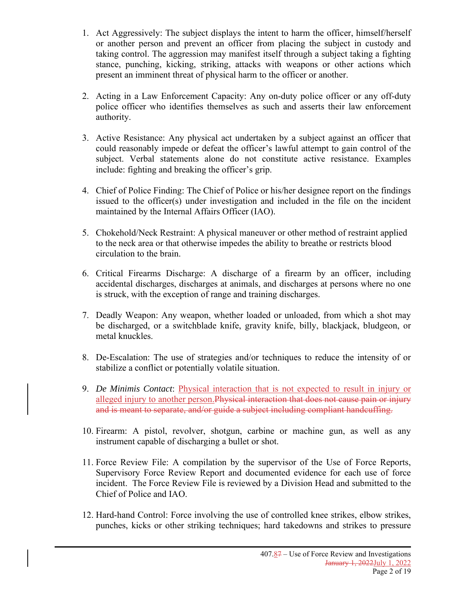- 1. Act Aggressively: The subject displays the intent to harm the officer, himself/herself or another person and prevent an officer from placing the subject in custody and taking control. The aggression may manifest itself through a subject taking a fighting stance, punching, kicking, striking, attacks with weapons or other actions which present an imminent threat of physical harm to the officer or another.
- 2. Acting in a Law Enforcement Capacity: Any on-duty police officer or any off-duty police officer who identifies themselves as such and asserts their law enforcement authority.
- 3. Active Resistance: Any physical act undertaken by a subject against an officer that could reasonably impede or defeat the officer's lawful attempt to gain control of the subject. Verbal statements alone do not constitute active resistance. Examples include: fighting and breaking the officer's grip.
- 4. Chief of Police Finding: The Chief of Police or his/her designee report on the findings issued to the officer(s) under investigation and included in the file on the incident maintained by the Internal Affairs Officer (IAO).
- 5. Chokehold/Neck Restraint: A physical maneuver or other method of restraint applied to the neck area or that otherwise impedes the ability to breathe or restricts blood circulation to the brain.
- 6. Critical Firearms Discharge: A discharge of a firearm by an officer, including accidental discharges, discharges at animals, and discharges at persons where no one is struck, with the exception of range and training discharges.
- 7. Deadly Weapon: Any weapon, whether loaded or unloaded, from which a shot may be discharged, or a switchblade knife, gravity knife, billy, blackjack, bludgeon, or metal knuckles.
- 8. De-Escalation: The use of strategies and/or techniques to reduce the intensity of or stabilize a conflict or potentially volatile situation.
- 9. *De Minimis Contact*: Physical interaction that is not expected to result in injury or alleged injury to another person. Physical interaction that does not cause pain or injury and is meant to separate, and/or guide a subject including compliant handcuffing.
- 10. Firearm: A pistol, revolver, shotgun, carbine or machine gun, as well as any instrument capable of discharging a bullet or shot.
- 11. Force Review File: A compilation by the supervisor of the Use of Force Reports, Supervisory Force Review Report and documented evidence for each use of force incident. The Force Review File is reviewed by a Division Head and submitted to the Chief of Police and IAO.
- 12. Hard-hand Control: Force involving the use of controlled knee strikes, elbow strikes, punches, kicks or other striking techniques; hard takedowns and strikes to pressure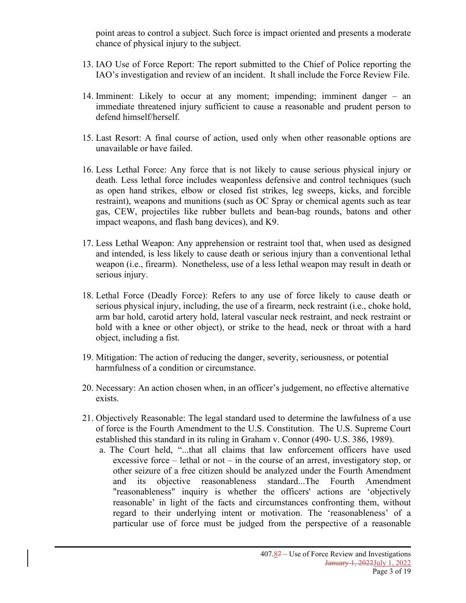point areas to control a subject. Such force is impact oriented and presents a moderate chance of physical injury to the subject.

- 13. IAO Use of Force Report: The report submitted to the Chief of Police reporting the IAO's investigation and review of an incident. It shall include the Force Review File.
- 14. Imminent: Likely to occur at any moment; impending; imminent danger an immediate threatened injury sufficient to cause a reasonable and prudent person to defend himself/herself.
- 15. Last Resort: A final course of action, used only when other reasonable options are unavailable or have failed.
- 16. Less Lethal Force: Any force that is not likely to cause serious physical injury or death. Less lethal force includes weaponless defensive and control techniques (such as open hand strikes, elbow or closed fist strikes, leg sweeps, kicks, and forcible restraint), weapons and munitions (such as OC Spray or chemical agents such as tear gas, CEW, projectiles like rubber bullets and bean-bag rounds, batons and other impact weapons, and flash bang devices), and K9.
- 17. Less Lethal Weapon: Any apprehension or restraint tool that, when used as designed and intended, is less likely to cause death or serious injury than a conventional lethal weapon (i.e., firearm). Nonetheless, use of a less lethal weapon may result in death or serious injury.
- 18. Lethal Force (Deadly Force): Refers to any use of force likely to cause death or serious physical injury, including, the use of a firearm, neck restraint (i.e., choke hold, arm bar hold, carotid artery hold, lateral vascular neck restraint, and neck restraint or hold with a knee or other object), or strike to the head, neck or throat with a hard object, including a fist.
- 19. Mitigation: The action of reducing the danger, severity, seriousness, or potential harmfulness of a condition or circumstance.
- 20. Necessary: An action chosen when, in an officer's judgement, no effective alternative exists.
- 21. Objectively Reasonable: The legal standard used to determine the lawfulness of a use of force is the Fourth Amendment to the U.S. Constitution. The U.S. Supreme Court established this standard in its ruling in Graham v. Connor (490- U.S. 386, 1989).
	- a. The Court held, "...that all claims that law enforcement officers have used excessive force – lethal or not – in the course of an arrest, investigatory stop, or other seizure of a free citizen should be analyzed under the Fourth Amendment and its objective reasonableness standard...The Fourth Amendment "reasonableness" inquiry is whether the officers' actions are 'objectively reasonable' in light of the facts and circumstances confronting them, without regard to their underlying intent or motivation. The 'reasonableness' of a particular use of force must be judged from the perspective of a reasonable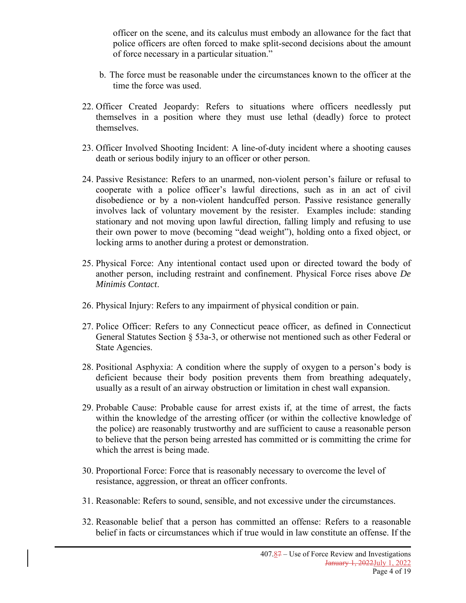officer on the scene, and its calculus must embody an allowance for the fact that police officers are often forced to make split-second decisions about the amount of force necessary in a particular situation."

- b. The force must be reasonable under the circumstances known to the officer at the time the force was used.
- 22. Officer Created Jeopardy: Refers to situations where officers needlessly put themselves in a position where they must use lethal (deadly) force to protect themselves.
- 23. Officer Involved Shooting Incident: A line-of-duty incident where a shooting causes death or serious bodily injury to an officer or other person.
- 24. Passive Resistance: Refers to an unarmed, non-violent person's failure or refusal to cooperate with a police officer's lawful directions, such as in an act of civil disobedience or by a non-violent handcuffed person. Passive resistance generally involves lack of voluntary movement by the resister. Examples include: standing stationary and not moving upon lawful direction, falling limply and refusing to use their own power to move (becoming "dead weight"), holding onto a fixed object, or locking arms to another during a protest or demonstration.
- 25. Physical Force: Any intentional contact used upon or directed toward the body of another person, including restraint and confinement. Physical Force rises above *De Minimis Contact*.
- 26. Physical Injury: Refers to any impairment of physical condition or pain.
- 27. Police Officer: Refers to any Connecticut peace officer, as defined in Connecticut General Statutes Section § 53a-3, or otherwise not mentioned such as other Federal or State Agencies.
- 28. Positional Asphyxia: A condition where the supply of oxygen to a person's body is deficient because their body position prevents them from breathing adequately, usually as a result of an airway obstruction or limitation in chest wall expansion.
- 29. Probable Cause: Probable cause for arrest exists if, at the time of arrest, the facts within the knowledge of the arresting officer (or within the collective knowledge of the police) are reasonably trustworthy and are sufficient to cause a reasonable person to believe that the person being arrested has committed or is committing the crime for which the arrest is being made.
- 30. Proportional Force: Force that is reasonably necessary to overcome the level of resistance, aggression, or threat an officer confronts.
- 31. Reasonable: Refers to sound, sensible, and not excessive under the circumstances.
- 32. Reasonable belief that a person has committed an offense: Refers to a reasonable belief in facts or circumstances which if true would in law constitute an offense. If the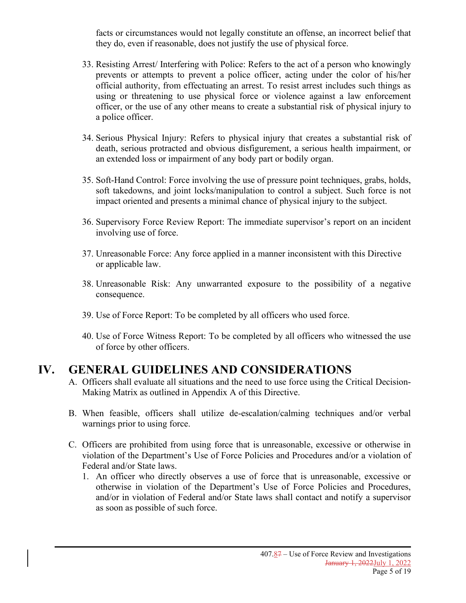facts or circumstances would not legally constitute an offense, an incorrect belief that they do, even if reasonable, does not justify the use of physical force.

- 33. Resisting Arrest/ Interfering with Police: Refers to the act of a person who knowingly prevents or attempts to prevent a police officer, acting under the color of his/her official authority, from effectuating an arrest. To resist arrest includes such things as using or threatening to use physical force or violence against a law enforcement officer, or the use of any other means to create a substantial risk of physical injury to a police officer.
- 34. Serious Physical Injury: Refers to physical injury that creates a substantial risk of death, serious protracted and obvious disfigurement, a serious health impairment, or an extended loss or impairment of any body part or bodily organ.
- 35. Soft-Hand Control: Force involving the use of pressure point techniques, grabs, holds, soft takedowns, and joint locks/manipulation to control a subject. Such force is not impact oriented and presents a minimal chance of physical injury to the subject.
- 36. Supervisory Force Review Report: The immediate supervisor's report on an incident involving use of force.
- 37. Unreasonable Force: Any force applied in a manner inconsistent with this Directive or applicable law.
- 38. Unreasonable Risk: Any unwarranted exposure to the possibility of a negative consequence.
- 39. Use of Force Report: To be completed by all officers who used force.
- 40. Use of Force Witness Report: To be completed by all officers who witnessed the use of force by other officers.

# **IV. GENERAL GUIDELINES AND CONSIDERATIONS**

- A. Officers shall evaluate all situations and the need to use force using the Critical Decision-Making Matrix as outlined in Appendix A of this Directive.
- B. When feasible, officers shall utilize de-escalation/calming techniques and/or verbal warnings prior to using force.
- C. Officers are prohibited from using force that is unreasonable, excessive or otherwise in violation of the Department's Use of Force Policies and Procedures and/or a violation of Federal and/or State laws.
	- 1. An officer who directly observes a use of force that is unreasonable, excessive or otherwise in violation of the Department's Use of Force Policies and Procedures, and/or in violation of Federal and/or State laws shall contact and notify a supervisor as soon as possible of such force.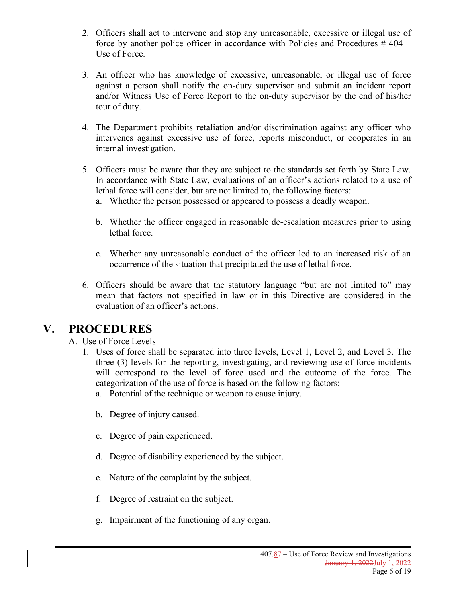- 2. Officers shall act to intervene and stop any unreasonable, excessive or illegal use of force by another police officer in accordance with Policies and Procedures  $\#$  404 – Use of Force.
- 3. An officer who has knowledge of excessive, unreasonable, or illegal use of force against a person shall notify the on-duty supervisor and submit an incident report and/or Witness Use of Force Report to the on-duty supervisor by the end of his/her tour of duty.
- 4. The Department prohibits retaliation and/or discrimination against any officer who intervenes against excessive use of force, reports misconduct, or cooperates in an internal investigation.
- 5. Officers must be aware that they are subject to the standards set forth by State Law. In accordance with State Law, evaluations of an officer's actions related to a use of lethal force will consider, but are not limited to, the following factors:
	- a. Whether the person possessed or appeared to possess a deadly weapon.
	- b. Whether the officer engaged in reasonable de-escalation measures prior to using lethal force.
	- c. Whether any unreasonable conduct of the officer led to an increased risk of an occurrence of the situation that precipitated the use of lethal force.
- 6. Officers should be aware that the statutory language "but are not limited to" may mean that factors not specified in law or in this Directive are considered in the evaluation of an officer's actions.

## **V. PROCEDURES**

A. Use of Force Levels

- 1. Uses of force shall be separated into three levels, Level 1, Level 2, and Level 3. The three (3) levels for the reporting, investigating, and reviewing use-of-force incidents will correspond to the level of force used and the outcome of the force. The categorization of the use of force is based on the following factors:
	- a. Potential of the technique or weapon to cause injury.
	- b. Degree of injury caused.
	- c. Degree of pain experienced.
	- d. Degree of disability experienced by the subject.
	- e. Nature of the complaint by the subject.
	- f. Degree of restraint on the subject.
	- g. Impairment of the functioning of any organ.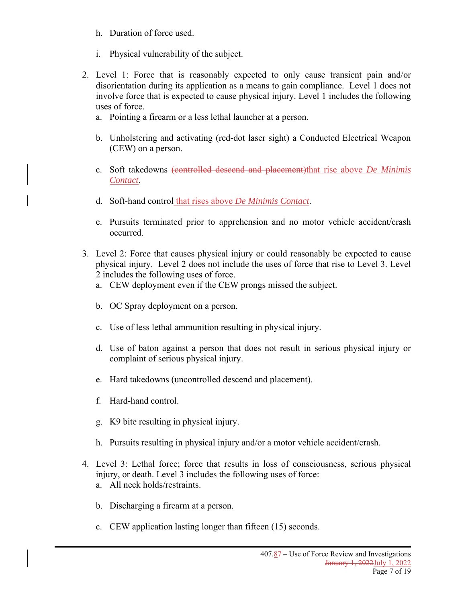- h. Duration of force used.
- i. Physical vulnerability of the subject.
- 2. Level 1: Force that is reasonably expected to only cause transient pain and/or disorientation during its application as a means to gain compliance. Level 1 does not involve force that is expected to cause physical injury. Level 1 includes the following uses of force.
	- a. Pointing a firearm or a less lethal launcher at a person.
	- b. Unholstering and activating (red-dot laser sight) a Conducted Electrical Weapon (CEW) on a person.
	- c. Soft takedowns (controlled descend and placement)that rise above *De Minimis Contact*.
	- d. Soft-hand control that rises above *De Minimis Contact*.
	- e. Pursuits terminated prior to apprehension and no motor vehicle accident/crash occurred.
- 3. Level 2: Force that causes physical injury or could reasonably be expected to cause physical injury. Level 2 does not include the uses of force that rise to Level 3. Level 2 includes the following uses of force.
	- a. CEW deployment even if the CEW prongs missed the subject.
	- b. OC Spray deployment on a person.
	- c. Use of less lethal ammunition resulting in physical injury.
	- d. Use of baton against a person that does not result in serious physical injury or complaint of serious physical injury.
	- e. Hard takedowns (uncontrolled descend and placement).
	- f. Hard-hand control.
	- g. K9 bite resulting in physical injury.
	- h. Pursuits resulting in physical injury and/or a motor vehicle accident/crash.
- 4. Level 3: Lethal force; force that results in loss of consciousness, serious physical injury, or death. Level 3 includes the following uses of force: a. All neck holds/restraints.
	- b. Discharging a firearm at a person.
	- c. CEW application lasting longer than fifteen (15) seconds.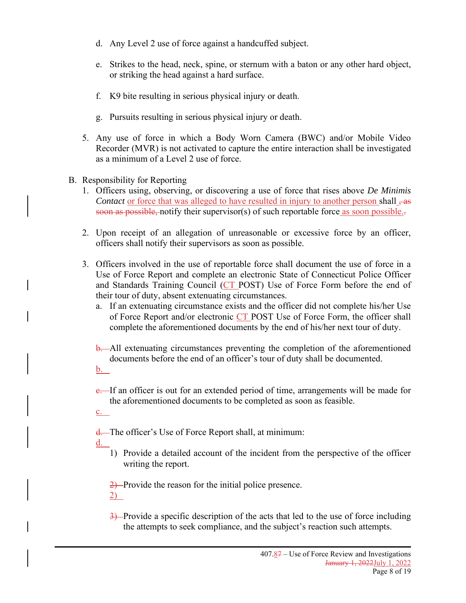- d. Any Level 2 use of force against a handcuffed subject.
- e. Strikes to the head, neck, spine, or sternum with a baton or any other hard object, or striking the head against a hard surface.
- f. K9 bite resulting in serious physical injury or death.
- g. Pursuits resulting in serious physical injury or death.
- 5. Any use of force in which a Body Worn Camera (BWC) and/or Mobile Video Recorder (MVR) is not activated to capture the entire interaction shall be investigated as a minimum of a Level 2 use of force.
- B. Responsibility for Reporting
	- 1. Officers using, observing, or discovering a use of force that rises above *De Minimis Contact* or force that was alleged to have resulted in injury to another person shall  $\frac{1}{10}$ soon as possible, notify their supervisor(s) of such reportable force as soon possible.
	- 2. Upon receipt of an allegation of unreasonable or excessive force by an officer, officers shall notify their supervisors as soon as possible.
	- 3. Officers involved in the use of reportable force shall document the use of force in a Use of Force Report and complete an electronic State of Connecticut Police Officer and Standards Training Council (CT POST) Use of Force Form before the end of their tour of duty, absent extenuating circumstances.
		- a. If an extenuating circumstance exists and the officer did not complete his/her Use of Force Report and/or electronic CT POST Use of Force Form, the officer shall complete the aforementioned documents by the end of his/her next tour of duty.
		- **b.** All extenuating circumstances preventing the completion of the aforementioned documents before the end of an officer's tour of duty shall be documented.
		- <u>b.</u>
		- e. If an officer is out for an extended period of time, arrangements will be made for the aforementioned documents to be completed as soon as feasible.
		- c.
		- d. The officer's Use of Force Report shall, at minimum:
		- d.
- 1) Provide a detailed account of the incident from the perspective of the officer writing the report.

2) Provide the reason for the initial police presence. 2)

3) Provide a specific description of the acts that led to the use of force including the attempts to seek compliance, and the subject's reaction such attempts.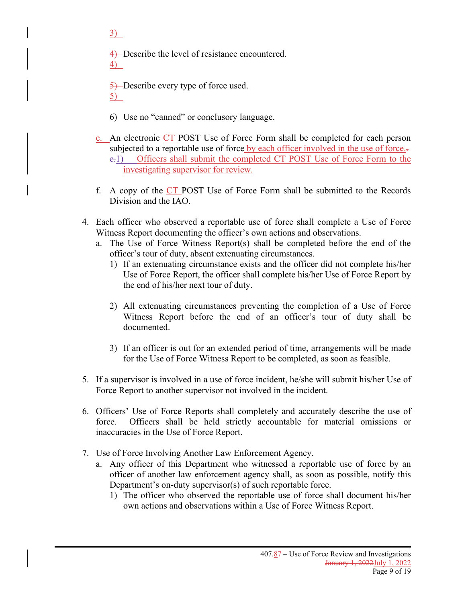$3)$ 

4) Describe the level of resistance encountered. 4)

5) Describe every type of force used. 5)

- 6) Use no "canned" or conclusory language.
- e. An electronic CT POST Use of Force Form shall be completed for each person subjected to a reportable use of force by each officer involved in the use of force. e.1) Officers shall submit the completed CT POST Use of Force Form to the investigating supervisor for review.
- f. A copy of the CT POST Use of Force Form shall be submitted to the Records Division and the IAO.
- 4. Each officer who observed a reportable use of force shall complete a Use of Force Witness Report documenting the officer's own actions and observations.
	- a. The Use of Force Witness Report(s) shall be completed before the end of the officer's tour of duty, absent extenuating circumstances.
		- 1) If an extenuating circumstance exists and the officer did not complete his/her Use of Force Report, the officer shall complete his/her Use of Force Report by the end of his/her next tour of duty.
		- 2) All extenuating circumstances preventing the completion of a Use of Force Witness Report before the end of an officer's tour of duty shall be documented.
		- 3) If an officer is out for an extended period of time, arrangements will be made for the Use of Force Witness Report to be completed, as soon as feasible.
- 5. If a supervisor is involved in a use of force incident, he/she will submit his/her Use of Force Report to another supervisor not involved in the incident.
- 6. Officers' Use of Force Reports shall completely and accurately describe the use of force. Officers shall be held strictly accountable for material omissions or inaccuracies in the Use of Force Report.
- 7. Use of Force Involving Another Law Enforcement Agency.
	- a. Any officer of this Department who witnessed a reportable use of force by an officer of another law enforcement agency shall, as soon as possible, notify this Department's on-duty supervisor(s) of such reportable force.
		- 1) The officer who observed the reportable use of force shall document his/her own actions and observations within a Use of Force Witness Report.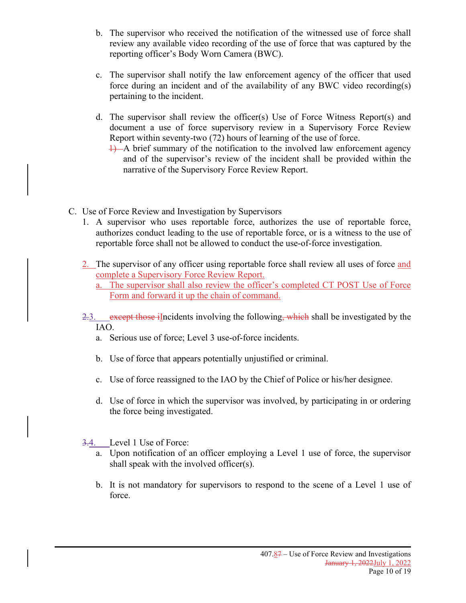- b. The supervisor who received the notification of the witnessed use of force shall review any available video recording of the use of force that was captured by the reporting officer's Body Worn Camera (BWC).
- c. The supervisor shall notify the law enforcement agency of the officer that used force during an incident and of the availability of any BWC video recording(s) pertaining to the incident.
- d. The supervisor shall review the officer(s) Use of Force Witness Report(s) and document a use of force supervisory review in a Supervisory Force Review Report within seventy-two (72) hours of learning of the use of force.
	- 1) A brief summary of the notification to the involved law enforcement agency and of the supervisor's review of the incident shall be provided within the narrative of the Supervisory Force Review Report.
- C. Use of Force Review and Investigation by Supervisors
	- 1. A supervisor who uses reportable force, authorizes the use of reportable force, authorizes conduct leading to the use of reportable force, or is a witness to the use of reportable force shall not be allowed to conduct the use-of-force investigation.
	- 2. The supervisor of any officer using reportable force shall review all uses of force and complete a Supervisory Force Review Report.
		- a. The supervisor shall also review the officer's completed CT POST Use of Force Form and forward it up the chain of command.
	- 2.3. except those illncidents involving the following, which shall be investigated by the IAO.
		- a. Serious use of force; Level 3 use-of-force incidents.
		- b. Use of force that appears potentially unjustified or criminal.
		- c. Use of force reassigned to the IAO by the Chief of Police or his/her designee.
		- d. Use of force in which the supervisor was involved, by participating in or ordering the force being investigated.
	- 3.4. Level 1 Use of Force:
		- a. Upon notification of an officer employing a Level 1 use of force, the supervisor shall speak with the involved officer(s).
		- b. It is not mandatory for supervisors to respond to the scene of a Level 1 use of force.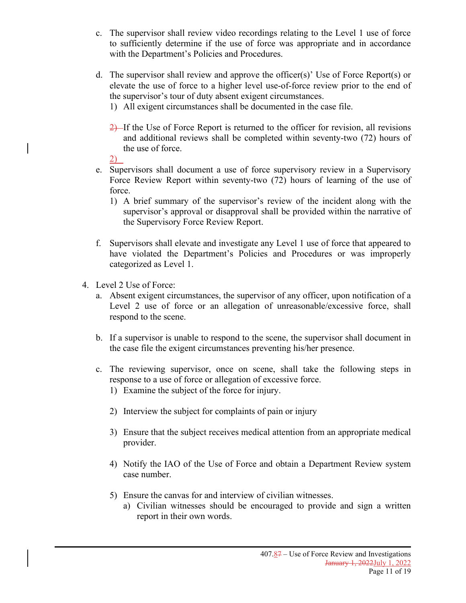- c. The supervisor shall review video recordings relating to the Level 1 use of force to sufficiently determine if the use of force was appropriate and in accordance with the Department's Policies and Procedures.
- d. The supervisor shall review and approve the officer(s)' Use of Force Report(s) or elevate the use of force to a higher level use-of-force review prior to the end of the supervisor's tour of duty absent exigent circumstances.
	- 1) All exigent circumstances shall be documented in the case file.
	- 2) If the Use of Force Report is returned to the officer for revision, all revisions and additional reviews shall be completed within seventy-two (72) hours of the use of force.
	- 2)
- e. Supervisors shall document a use of force supervisory review in a Supervisory Force Review Report within seventy-two (72) hours of learning of the use of force.
	- 1) A brief summary of the supervisor's review of the incident along with the supervisor's approval or disapproval shall be provided within the narrative of the Supervisory Force Review Report.
- f. Supervisors shall elevate and investigate any Level 1 use of force that appeared to have violated the Department's Policies and Procedures or was improperly categorized as Level 1.
- 4. Level 2 Use of Force:
	- a. Absent exigent circumstances, the supervisor of any officer, upon notification of a Level 2 use of force or an allegation of unreasonable/excessive force, shall respond to the scene.
	- b. If a supervisor is unable to respond to the scene, the supervisor shall document in the case file the exigent circumstances preventing his/her presence.
	- c. The reviewing supervisor, once on scene, shall take the following steps in response to a use of force or allegation of excessive force.
		- 1) Examine the subject of the force for injury.
		- 2) Interview the subject for complaints of pain or injury
		- 3) Ensure that the subject receives medical attention from an appropriate medical provider.
		- 4) Notify the IAO of the Use of Force and obtain a Department Review system case number.
		- 5) Ensure the canvas for and interview of civilian witnesses.
			- a) Civilian witnesses should be encouraged to provide and sign a written report in their own words.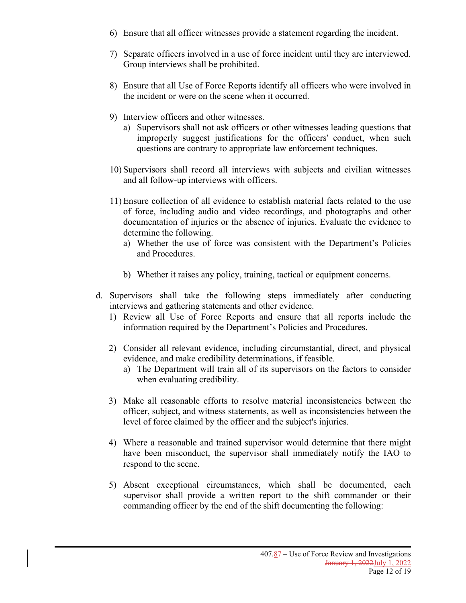- 6) Ensure that all officer witnesses provide a statement regarding the incident.
- 7) Separate officers involved in a use of force incident until they are interviewed. Group interviews shall be prohibited.
- 8) Ensure that all Use of Force Reports identify all officers who were involved in the incident or were on the scene when it occurred.
- 9) Interview officers and other witnesses.
	- a) Supervisors shall not ask officers or other witnesses leading questions that improperly suggest justifications for the officers' conduct, when such questions are contrary to appropriate law enforcement techniques.
- 10) Supervisors shall record all interviews with subjects and civilian witnesses and all follow-up interviews with officers.
- 11) Ensure collection of all evidence to establish material facts related to the use of force, including audio and video recordings, and photographs and other documentation of injuries or the absence of injuries. Evaluate the evidence to determine the following.
	- a) Whether the use of force was consistent with the Department's Policies and Procedures.
	- b) Whether it raises any policy, training, tactical or equipment concerns.
- d. Supervisors shall take the following steps immediately after conducting interviews and gathering statements and other evidence.
	- 1) Review all Use of Force Reports and ensure that all reports include the information required by the Department's Policies and Procedures.
	- 2) Consider all relevant evidence, including circumstantial, direct, and physical evidence, and make credibility determinations, if feasible.
		- a) The Department will train all of its supervisors on the factors to consider when evaluating credibility.
	- 3) Make all reasonable efforts to resolve material inconsistencies between the officer, subject, and witness statements, as well as inconsistencies between the level of force claimed by the officer and the subject's injuries.
	- 4) Where a reasonable and trained supervisor would determine that there might have been misconduct, the supervisor shall immediately notify the IAO to respond to the scene.
	- 5) Absent exceptional circumstances, which shall be documented, each supervisor shall provide a written report to the shift commander or their commanding officer by the end of the shift documenting the following: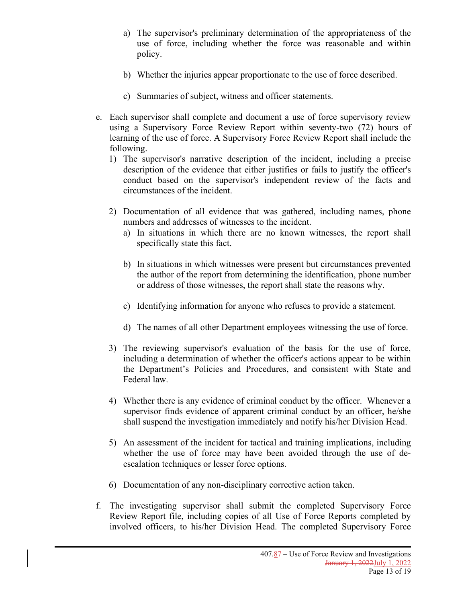- a) The supervisor's preliminary determination of the appropriateness of the use of force, including whether the force was reasonable and within policy.
- b) Whether the injuries appear proportionate to the use of force described.
- c) Summaries of subject, witness and officer statements.
- e. Each supervisor shall complete and document a use of force supervisory review using a Supervisory Force Review Report within seventy-two (72) hours of learning of the use of force. A Supervisory Force Review Report shall include the following.
	- 1) The supervisor's narrative description of the incident, including a precise description of the evidence that either justifies or fails to justify the officer's conduct based on the supervisor's independent review of the facts and circumstances of the incident.
	- 2) Documentation of all evidence that was gathered, including names, phone numbers and addresses of witnesses to the incident.
		- a) In situations in which there are no known witnesses, the report shall specifically state this fact.
		- b) In situations in which witnesses were present but circumstances prevented the author of the report from determining the identification, phone number or address of those witnesses, the report shall state the reasons why.
		- c) Identifying information for anyone who refuses to provide a statement.
		- d) The names of all other Department employees witnessing the use of force.
	- 3) The reviewing supervisor's evaluation of the basis for the use of force, including a determination of whether the officer's actions appear to be within the Department's Policies and Procedures, and consistent with State and Federal law.
	- 4) Whether there is any evidence of criminal conduct by the officer. Whenever a supervisor finds evidence of apparent criminal conduct by an officer, he/she shall suspend the investigation immediately and notify his/her Division Head.
	- 5) An assessment of the incident for tactical and training implications, including whether the use of force may have been avoided through the use of deescalation techniques or lesser force options.
	- 6) Documentation of any non-disciplinary corrective action taken.
- f. The investigating supervisor shall submit the completed Supervisory Force Review Report file, including copies of all Use of Force Reports completed by involved officers, to his/her Division Head. The completed Supervisory Force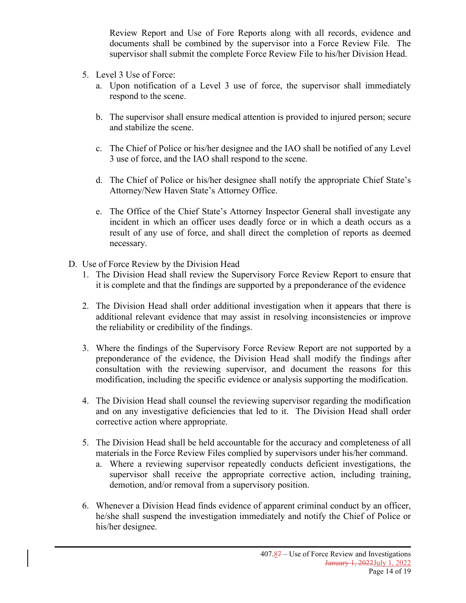Review Report and Use of Fore Reports along with all records, evidence and documents shall be combined by the supervisor into a Force Review File. The supervisor shall submit the complete Force Review File to his/her Division Head.

- 5. Level 3 Use of Force:
	- a. Upon notification of a Level 3 use of force, the supervisor shall immediately respond to the scene.
	- b. The supervisor shall ensure medical attention is provided to injured person; secure and stabilize the scene.
	- c. The Chief of Police or his/her designee and the IAO shall be notified of any Level 3 use of force, and the IAO shall respond to the scene.
	- d. The Chief of Police or his/her designee shall notify the appropriate Chief State's Attorney/New Haven State's Attorney Office.
	- e. The Office of the Chief State's Attorney Inspector General shall investigate any incident in which an officer uses deadly force or in which a death occurs as a result of any use of force, and shall direct the completion of reports as deemed necessary.
- D. Use of Force Review by the Division Head
	- 1. The Division Head shall review the Supervisory Force Review Report to ensure that it is complete and that the findings are supported by a preponderance of the evidence
	- 2. The Division Head shall order additional investigation when it appears that there is additional relevant evidence that may assist in resolving inconsistencies or improve the reliability or credibility of the findings.
	- 3. Where the findings of the Supervisory Force Review Report are not supported by a preponderance of the evidence, the Division Head shall modify the findings after consultation with the reviewing supervisor, and document the reasons for this modification, including the specific evidence or analysis supporting the modification.
	- 4. The Division Head shall counsel the reviewing supervisor regarding the modification and on any investigative deficiencies that led to it. The Division Head shall order corrective action where appropriate.
	- 5. The Division Head shall be held accountable for the accuracy and completeness of all materials in the Force Review Files complied by supervisors under his/her command.
		- a. Where a reviewing supervisor repeatedly conducts deficient investigations, the supervisor shall receive the appropriate corrective action, including training, demotion, and/or removal from a supervisory position.
	- 6. Whenever a Division Head finds evidence of apparent criminal conduct by an officer, he/she shall suspend the investigation immediately and notify the Chief of Police or his/her designee.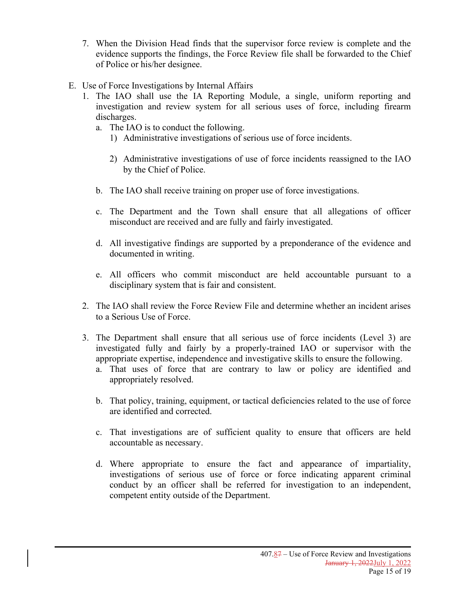- 7. When the Division Head finds that the supervisor force review is complete and the evidence supports the findings, the Force Review file shall be forwarded to the Chief of Police or his/her designee.
- E. Use of Force Investigations by Internal Affairs
	- 1. The IAO shall use the IA Reporting Module, a single, uniform reporting and investigation and review system for all serious uses of force, including firearm discharges.
		- a. The IAO is to conduct the following.
			- 1) Administrative investigations of serious use of force incidents.
			- 2) Administrative investigations of use of force incidents reassigned to the IAO by the Chief of Police.
		- b. The IAO shall receive training on proper use of force investigations.
		- c. The Department and the Town shall ensure that all allegations of officer misconduct are received and are fully and fairly investigated.
		- d. All investigative findings are supported by a preponderance of the evidence and documented in writing.
		- e. All officers who commit misconduct are held accountable pursuant to a disciplinary system that is fair and consistent.
	- 2. The IAO shall review the Force Review File and determine whether an incident arises to a Serious Use of Force.
	- 3. The Department shall ensure that all serious use of force incidents (Level 3) are investigated fully and fairly by a properly-trained IAO or supervisor with the appropriate expertise, independence and investigative skills to ensure the following.
		- a. That uses of force that are contrary to law or policy are identified and appropriately resolved.
		- b. That policy, training, equipment, or tactical deficiencies related to the use of force are identified and corrected.
		- c. That investigations are of sufficient quality to ensure that officers are held accountable as necessary.
		- d. Where appropriate to ensure the fact and appearance of impartiality, investigations of serious use of force or force indicating apparent criminal conduct by an officer shall be referred for investigation to an independent, competent entity outside of the Department.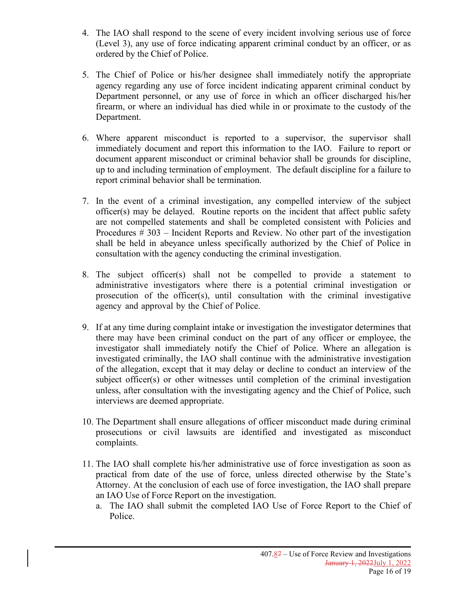- 4. The IAO shall respond to the scene of every incident involving serious use of force (Level 3), any use of force indicating apparent criminal conduct by an officer, or as ordered by the Chief of Police.
- 5. The Chief of Police or his/her designee shall immediately notify the appropriate agency regarding any use of force incident indicating apparent criminal conduct by Department personnel, or any use of force in which an officer discharged his/her firearm, or where an individual has died while in or proximate to the custody of the Department.
- 6. Where apparent misconduct is reported to a supervisor, the supervisor shall immediately document and report this information to the IAO. Failure to report or document apparent misconduct or criminal behavior shall be grounds for discipline, up to and including termination of employment. The default discipline for a failure to report criminal behavior shall be termination.
- 7. In the event of a criminal investigation, any compelled interview of the subject officer(s) may be delayed. Routine reports on the incident that affect public safety are not compelled statements and shall be completed consistent with Policies and Procedures # 303 – Incident Reports and Review. No other part of the investigation shall be held in abeyance unless specifically authorized by the Chief of Police in consultation with the agency conducting the criminal investigation.
- 8. The subject officer(s) shall not be compelled to provide a statement to administrative investigators where there is a potential criminal investigation or prosecution of the officer(s), until consultation with the criminal investigative agency and approval by the Chief of Police.
- 9. If at any time during complaint intake or investigation the investigator determines that there may have been criminal conduct on the part of any officer or employee, the investigator shall immediately notify the Chief of Police. Where an allegation is investigated criminally, the IAO shall continue with the administrative investigation of the allegation, except that it may delay or decline to conduct an interview of the subject officer(s) or other witnesses until completion of the criminal investigation unless, after consultation with the investigating agency and the Chief of Police, such interviews are deemed appropriate.
- 10. The Department shall ensure allegations of officer misconduct made during criminal prosecutions or civil lawsuits are identified and investigated as misconduct complaints.
- 11. The IAO shall complete his/her administrative use of force investigation as soon as practical from date of the use of force, unless directed otherwise by the State's Attorney. At the conclusion of each use of force investigation, the IAO shall prepare an IAO Use of Force Report on the investigation.
	- a. The IAO shall submit the completed IAO Use of Force Report to the Chief of Police.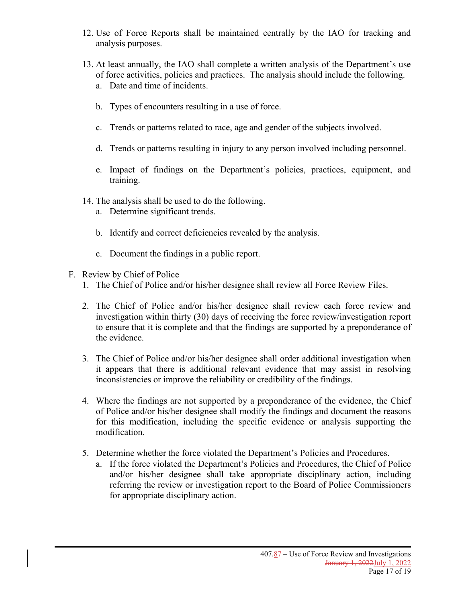- 12. Use of Force Reports shall be maintained centrally by the IAO for tracking and analysis purposes.
- 13. At least annually, the IAO shall complete a written analysis of the Department's use of force activities, policies and practices. The analysis should include the following. a. Date and time of incidents.
	- b. Types of encounters resulting in a use of force.
	- c. Trends or patterns related to race, age and gender of the subjects involved.
	- d. Trends or patterns resulting in injury to any person involved including personnel.
	- e. Impact of findings on the Department's policies, practices, equipment, and training.
- 14. The analysis shall be used to do the following.
	- a. Determine significant trends.
	- b. Identify and correct deficiencies revealed by the analysis.
	- c. Document the findings in a public report.
- F. Review by Chief of Police
	- 1. The Chief of Police and/or his/her designee shall review all Force Review Files.
	- 2. The Chief of Police and/or his/her designee shall review each force review and investigation within thirty (30) days of receiving the force review/investigation report to ensure that it is complete and that the findings are supported by a preponderance of the evidence.
	- 3. The Chief of Police and/or his/her designee shall order additional investigation when it appears that there is additional relevant evidence that may assist in resolving inconsistencies or improve the reliability or credibility of the findings.
	- 4. Where the findings are not supported by a preponderance of the evidence, the Chief of Police and/or his/her designee shall modify the findings and document the reasons for this modification, including the specific evidence or analysis supporting the modification.
	- 5. Determine whether the force violated the Department's Policies and Procedures.
		- a. If the force violated the Department's Policies and Procedures, the Chief of Police and/or his/her designee shall take appropriate disciplinary action, including referring the review or investigation report to the Board of Police Commissioners for appropriate disciplinary action.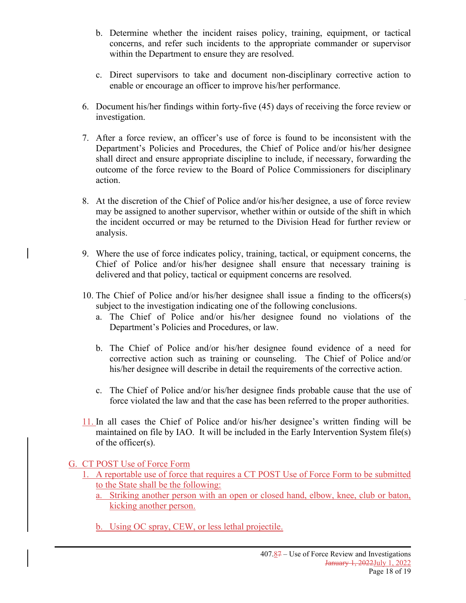- b. Determine whether the incident raises policy, training, equipment, or tactical concerns, and refer such incidents to the appropriate commander or supervisor within the Department to ensure they are resolved.
- c. Direct supervisors to take and document non-disciplinary corrective action to enable or encourage an officer to improve his/her performance.
- 6. Document his/her findings within forty-five (45) days of receiving the force review or investigation.
- 7. After a force review, an officer's use of force is found to be inconsistent with the Department's Policies and Procedures, the Chief of Police and/or his/her designee shall direct and ensure appropriate discipline to include, if necessary, forwarding the outcome of the force review to the Board of Police Commissioners for disciplinary action.
- 8. At the discretion of the Chief of Police and/or his/her designee, a use of force review may be assigned to another supervisor, whether within or outside of the shift in which the incident occurred or may be returned to the Division Head for further review or analysis.
- 9. Where the use of force indicates policy, training, tactical, or equipment concerns, the Chief of Police and/or his/her designee shall ensure that necessary training is delivered and that policy, tactical or equipment concerns are resolved.
- 10. The Chief of Police and/or his/her designee shall issue a finding to the officers(s) subject to the investigation indicating one of the following conclusions.
	- a. The Chief of Police and/or his/her designee found no violations of the Department's Policies and Procedures, or law.
	- b. The Chief of Police and/or his/her designee found evidence of a need for corrective action such as training or counseling. The Chief of Police and/or his/her designee will describe in detail the requirements of the corrective action.
	- c. The Chief of Police and/or his/her designee finds probable cause that the use of force violated the law and that the case has been referred to the proper authorities.
- 11. In all cases the Chief of Police and/or his/her designee's written finding will be maintained on file by IAO. It will be included in the Early Intervention System file(s) of the officer(s).

### G. CT POST Use of Force Form

- 1. A reportable use of force that requires a CT POST Use of Force Form to be submitted to the State shall be the following:
	- a. Striking another person with an open or closed hand, elbow, knee, club or baton, kicking another person.
	- b. Using OC spray, CEW, or less lethal projectile.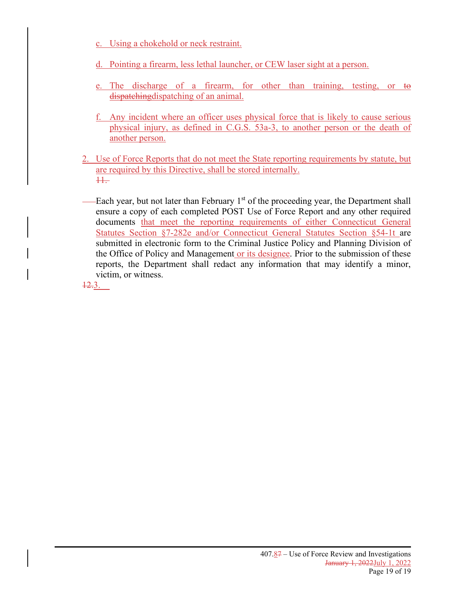- c. Using a chokehold or neck restraint.
- d. Pointing a firearm, less lethal launcher, or CEW laser sight at a person.
- e. The discharge of a firearm, for other than training, testing, or to dispatching dispatching of an animal.
- f. Any incident where an officer uses physical force that is likely to cause serious physical injury, as defined in C.G.S. 53a-3, to another person or the death of another person.
- 2. Use of Force Reports that do not meet the State reporting requirements by statute, but are required by this Directive, shall be stored internally. 11.
- Each year, but not later than February 1<sup>st</sup> of the proceeding year, the Department shall ensure a copy of each completed POST Use of Force Report and any other required documents that meet the reporting requirements of either Connecticut General Statutes Section §7-282e and/or Connecticut General Statutes Section §54-1t are submitted in electronic form to the Criminal Justice Policy and Planning Division of the Office of Policy and Management or its designee. Prior to the submission of these reports, the Department shall redact any information that may identify a minor, victim, or witness.

12.3.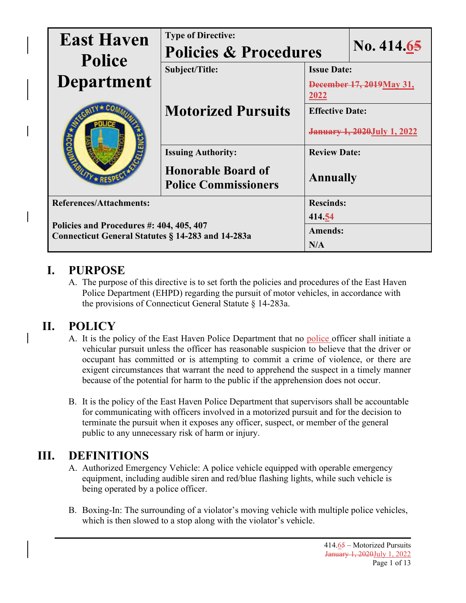| <b>East Haven</b><br><b>Police</b>                                                            | <b>Type of Directive:</b><br><b>Policies &amp; Procedures</b> |                                     | No. 414.65     |  |
|-----------------------------------------------------------------------------------------------|---------------------------------------------------------------|-------------------------------------|----------------|--|
|                                                                                               | Subject/Title:                                                | <b>Issue Date:</b>                  |                |  |
| <b>Department</b>                                                                             |                                                               | December 17, 2019 May 31,<br>2022   |                |  |
|                                                                                               | <b>Motorized Pursuits</b>                                     | <b>Effective Date:</b>              |                |  |
|                                                                                               |                                                               | <b>January 1, 2020 July 1, 2022</b> |                |  |
|                                                                                               | <b>Issuing Authority:</b>                                     | <b>Review Date:</b>                 |                |  |
|                                                                                               | <b>Honorable Board of</b><br><b>Police Commissioners</b>      | <b>Annually</b>                     |                |  |
| <b>References/Attachments:</b>                                                                |                                                               | <b>Rescinds:</b>                    |                |  |
| Policies and Procedures #: 404, 405, 407<br>Connecticut General Statutes § 14-283 and 14-283a |                                                               |                                     | 414.54         |  |
|                                                                                               |                                                               |                                     | <b>Amends:</b> |  |
|                                                                                               |                                                               |                                     | N/A            |  |

# **I. PURPOSE**

A. The purpose of this directive is to set forth the policies and procedures of the East Haven Police Department (EHPD) regarding the pursuit of motor vehicles, in accordance with the provisions of Connecticut General Statute § 14-283a.

# **II. POLICY**

- A. It is the policy of the East Haven Police Department that no police officer shall initiate a vehicular pursuit unless the officer has reasonable suspicion to believe that the driver or occupant has committed or is attempting to commit a crime of violence, or there are exigent circumstances that warrant the need to apprehend the suspect in a timely manner because of the potential for harm to the public if the apprehension does not occur.
- B. It is the policy of the East Haven Police Department that supervisors shall be accountable for communicating with officers involved in a motorized pursuit and for the decision to terminate the pursuit when it exposes any officer, suspect, or member of the general public to any unnecessary risk of harm or injury.

# **III. DEFINITIONS**

- A. Authorized Emergency Vehicle: A police vehicle equipped with operable emergency equipment, including audible siren and red/blue flashing lights, while such vehicle is being operated by a police officer.
- B. Boxing-In: The surrounding of a violator's moving vehicle with multiple police vehicles, which is then slowed to a stop along with the violator's vehicle.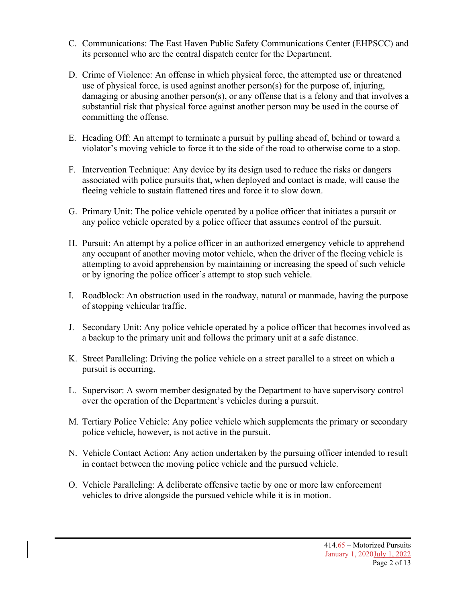- C. Communications: The East Haven Public Safety Communications Center (EHPSCC) and its personnel who are the central dispatch center for the Department.
- D. Crime of Violence: An offense in which physical force, the attempted use or threatened use of physical force, is used against another person(s) for the purpose of, injuring, damaging or abusing another person(s), or any offense that is a felony and that involves a substantial risk that physical force against another person may be used in the course of committing the offense.
- E. Heading Off: An attempt to terminate a pursuit by pulling ahead of, behind or toward a violator's moving vehicle to force it to the side of the road to otherwise come to a stop.
- F. Intervention Technique: Any device by its design used to reduce the risks or dangers associated with police pursuits that, when deployed and contact is made, will cause the fleeing vehicle to sustain flattened tires and force it to slow down.
- G. Primary Unit: The police vehicle operated by a police officer that initiates a pursuit or any police vehicle operated by a police officer that assumes control of the pursuit.
- H. Pursuit: An attempt by a police officer in an authorized emergency vehicle to apprehend any occupant of another moving motor vehicle, when the driver of the fleeing vehicle is attempting to avoid apprehension by maintaining or increasing the speed of such vehicle or by ignoring the police officer's attempt to stop such vehicle.
- I. Roadblock: An obstruction used in the roadway, natural or manmade, having the purpose of stopping vehicular traffic.
- J. Secondary Unit: Any police vehicle operated by a police officer that becomes involved as a backup to the primary unit and follows the primary unit at a safe distance.
- K. Street Paralleling: Driving the police vehicle on a street parallel to a street on which a pursuit is occurring.
- L. Supervisor: A sworn member designated by the Department to have supervisory control over the operation of the Department's vehicles during a pursuit.
- M. Tertiary Police Vehicle: Any police vehicle which supplements the primary or secondary police vehicle, however, is not active in the pursuit.
- N. Vehicle Contact Action: Any action undertaken by the pursuing officer intended to result in contact between the moving police vehicle and the pursued vehicle.
- O. Vehicle Paralleling: A deliberate offensive tactic by one or more law enforcement vehicles to drive alongside the pursued vehicle while it is in motion.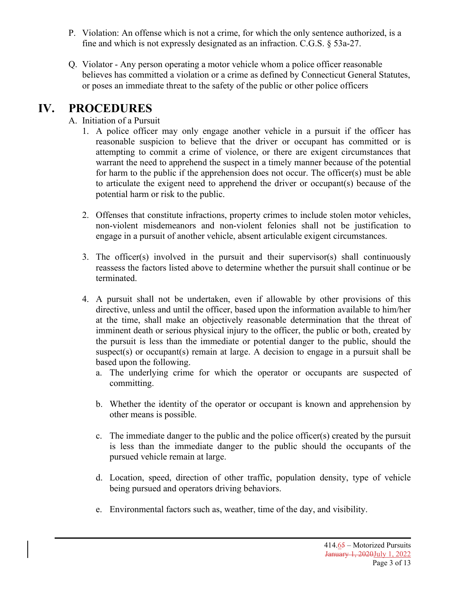- P. Violation: An offense which is not a crime, for which the only sentence authorized, is a fine and which is not expressly designated as an infraction. C.G.S. § 53a-27.
- Q. Violator Any person operating a motor vehicle whom a police officer reasonable believes has committed a violation or a crime as defined by Connecticut General Statutes, or poses an immediate threat to the safety of the public or other police officers

## **IV. PROCEDURES**

## A. Initiation of a Pursuit

- 1. A police officer may only engage another vehicle in a pursuit if the officer has reasonable suspicion to believe that the driver or occupant has committed or is attempting to commit a crime of violence, or there are exigent circumstances that warrant the need to apprehend the suspect in a timely manner because of the potential for harm to the public if the apprehension does not occur. The officer(s) must be able to articulate the exigent need to apprehend the driver or occupant(s) because of the potential harm or risk to the public.
- 2. Offenses that constitute infractions, property crimes to include stolen motor vehicles, non-violent misdemeanors and non-violent felonies shall not be justification to engage in a pursuit of another vehicle, absent articulable exigent circumstances.
- 3. The officer(s) involved in the pursuit and their supervisor(s) shall continuously reassess the factors listed above to determine whether the pursuit shall continue or be terminated.
- 4. A pursuit shall not be undertaken, even if allowable by other provisions of this directive, unless and until the officer, based upon the information available to him/her at the time, shall make an objectively reasonable determination that the threat of imminent death or serious physical injury to the officer, the public or both, created by the pursuit is less than the immediate or potential danger to the public, should the suspect(s) or occupant(s) remain at large. A decision to engage in a pursuit shall be based upon the following.
	- a. The underlying crime for which the operator or occupants are suspected of committing.
	- b. Whether the identity of the operator or occupant is known and apprehension by other means is possible.
	- c. The immediate danger to the public and the police officer(s) created by the pursuit is less than the immediate danger to the public should the occupants of the pursued vehicle remain at large.
	- d. Location, speed, direction of other traffic, population density, type of vehicle being pursued and operators driving behaviors.
	- e. Environmental factors such as, weather, time of the day, and visibility.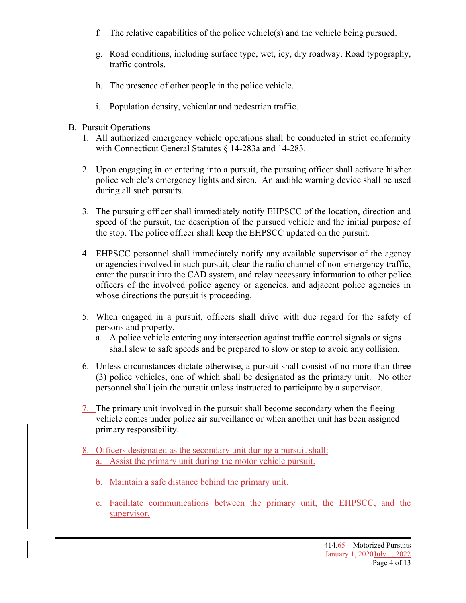- f. The relative capabilities of the police vehicle(s) and the vehicle being pursued.
- g. Road conditions, including surface type, wet, icy, dry roadway. Road typography, traffic controls.
- h. The presence of other people in the police vehicle.
- i. Population density, vehicular and pedestrian traffic.
- B. Pursuit Operations
	- 1. All authorized emergency vehicle operations shall be conducted in strict conformity with Connecticut General Statutes § 14-283a and 14-283.
	- 2. Upon engaging in or entering into a pursuit, the pursuing officer shall activate his/her police vehicle's emergency lights and siren. An audible warning device shall be used during all such pursuits.
	- 3. The pursuing officer shall immediately notify EHPSCC of the location, direction and speed of the pursuit, the description of the pursued vehicle and the initial purpose of the stop. The police officer shall keep the EHPSCC updated on the pursuit.
	- 4. EHPSCC personnel shall immediately notify any available supervisor of the agency or agencies involved in such pursuit, clear the radio channel of non-emergency traffic, enter the pursuit into the CAD system, and relay necessary information to other police officers of the involved police agency or agencies, and adjacent police agencies in whose directions the pursuit is proceeding.
	- 5. When engaged in a pursuit, officers shall drive with due regard for the safety of persons and property.
		- a. A police vehicle entering any intersection against traffic control signals or signs shall slow to safe speeds and be prepared to slow or stop to avoid any collision.
	- 6. Unless circumstances dictate otherwise, a pursuit shall consist of no more than three (3) police vehicles, one of which shall be designated as the primary unit. No other personnel shall join the pursuit unless instructed to participate by a supervisor.
	- 7. The primary unit involved in the pursuit shall become secondary when the fleeing vehicle comes under police air surveillance or when another unit has been assigned primary responsibility.
	- 8. Officers designated as the secondary unit during a pursuit shall: a. Assist the primary unit during the motor vehicle pursuit.
		- b. Maintain a safe distance behind the primary unit.
		- c. Facilitate communications between the primary unit, the EHPSCC, and the supervisor.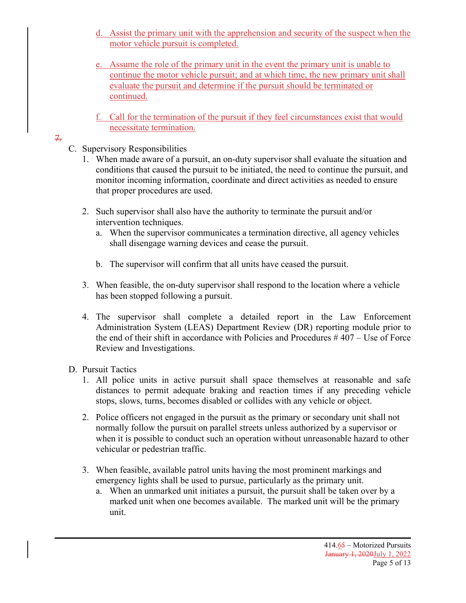- d. Assist the primary unit with the apprehension and security of the suspect when the motor vehicle pursuit is completed.
- e. Assume the role of the primary unit in the event the primary unit is unable to continue the motor vehicle pursuit; and at which time, the new primary unit shall evaluate the pursuit and determine if the pursuit should be terminated or continued.
- f. Call for the termination of the pursuit if they feel circumstances exist that would necessitate termination.

## 7.

- C. Supervisory Responsibilities
	- 1. When made aware of a pursuit, an on-duty supervisor shall evaluate the situation and conditions that caused the pursuit to be initiated, the need to continue the pursuit, and monitor incoming information, coordinate and direct activities as needed to ensure that proper procedures are used.
	- 2. Such supervisor shall also have the authority to terminate the pursuit and/or intervention techniques.
		- a. When the supervisor communicates a termination directive, all agency vehicles shall disengage warning devices and cease the pursuit.
		- b. The supervisor will confirm that all units have ceased the pursuit.
	- 3. When feasible, the on-duty supervisor shall respond to the location where a vehicle has been stopped following a pursuit.
	- 4. The supervisor shall complete a detailed report in the Law Enforcement Administration System (LEAS) Department Review (DR) reporting module prior to the end of their shift in accordance with Policies and Procedures # 407 – Use of Force Review and Investigations.

## D. Pursuit Tactics

- 1. All police units in active pursuit shall space themselves at reasonable and safe distances to permit adequate braking and reaction times if any preceding vehicle stops, slows, turns, becomes disabled or collides with any vehicle or object.
- 2. Police officers not engaged in the pursuit as the primary or secondary unit shall not normally follow the pursuit on parallel streets unless authorized by a supervisor or when it is possible to conduct such an operation without unreasonable hazard to other vehicular or pedestrian traffic.
- 3. When feasible, available patrol units having the most prominent markings and emergency lights shall be used to pursue, particularly as the primary unit.
	- a. When an unmarked unit initiates a pursuit, the pursuit shall be taken over by a marked unit when one becomes available. The marked unit will be the primary unit.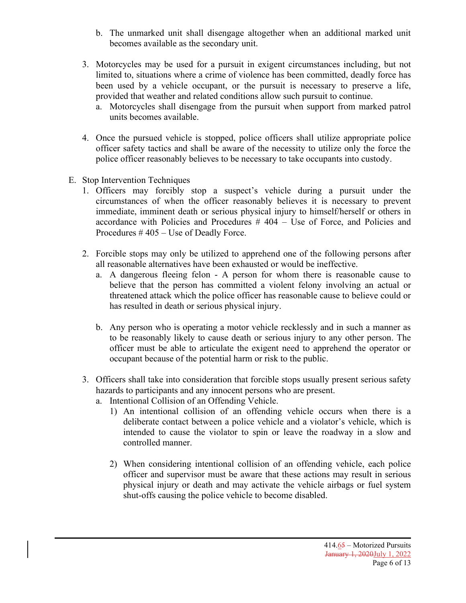- b. The unmarked unit shall disengage altogether when an additional marked unit becomes available as the secondary unit.
- 3. Motorcycles may be used for a pursuit in exigent circumstances including, but not limited to, situations where a crime of violence has been committed, deadly force has been used by a vehicle occupant, or the pursuit is necessary to preserve a life, provided that weather and related conditions allow such pursuit to continue.
	- a. Motorcycles shall disengage from the pursuit when support from marked patrol units becomes available.
- 4. Once the pursued vehicle is stopped, police officers shall utilize appropriate police officer safety tactics and shall be aware of the necessity to utilize only the force the police officer reasonably believes to be necessary to take occupants into custody.
- E. Stop Intervention Techniques
	- 1. Officers may forcibly stop a suspect's vehicle during a pursuit under the circumstances of when the officer reasonably believes it is necessary to prevent immediate, imminent death or serious physical injury to himself/herself or others in accordance with Policies and Procedures # 404 – Use of Force, and Policies and Procedures # 405 – Use of Deadly Force.
	- 2. Forcible stops may only be utilized to apprehend one of the following persons after all reasonable alternatives have been exhausted or would be ineffective.
		- a. A dangerous fleeing felon A person for whom there is reasonable cause to believe that the person has committed a violent felony involving an actual or threatened attack which the police officer has reasonable cause to believe could or has resulted in death or serious physical injury.
		- b. Any person who is operating a motor vehicle recklessly and in such a manner as to be reasonably likely to cause death or serious injury to any other person. The officer must be able to articulate the exigent need to apprehend the operator or occupant because of the potential harm or risk to the public.
	- 3. Officers shall take into consideration that forcible stops usually present serious safety hazards to participants and any innocent persons who are present.
		- a. Intentional Collision of an Offending Vehicle.
			- 1) An intentional collision of an offending vehicle occurs when there is a deliberate contact between a police vehicle and a violator's vehicle, which is intended to cause the violator to spin or leave the roadway in a slow and controlled manner.
			- 2) When considering intentional collision of an offending vehicle, each police officer and supervisor must be aware that these actions may result in serious physical injury or death and may activate the vehicle airbags or fuel system shut-offs causing the police vehicle to become disabled.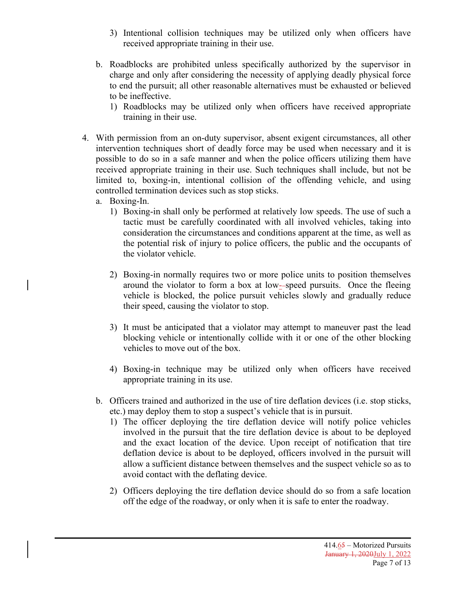- 3) Intentional collision techniques may be utilized only when officers have received appropriate training in their use.
- b. Roadblocks are prohibited unless specifically authorized by the supervisor in charge and only after considering the necessity of applying deadly physical force to end the pursuit; all other reasonable alternatives must be exhausted or believed to be ineffective.
	- 1) Roadblocks may be utilized only when officers have received appropriate training in their use.
- 4. With permission from an on-duty supervisor, absent exigent circumstances, all other intervention techniques short of deadly force may be used when necessary and it is possible to do so in a safe manner and when the police officers utilizing them have received appropriate training in their use. Such techniques shall include, but not be limited to, boxing-in, intentional collision of the offending vehicle, and using controlled termination devices such as stop sticks.
	- a. Boxing-In.
		- 1) Boxing-in shall only be performed at relatively low speeds. The use of such a tactic must be carefully coordinated with all involved vehicles, taking into consideration the circumstances and conditions apparent at the time, as well as the potential risk of injury to police officers, the public and the occupants of the violator vehicle.
		- 2) Boxing-in normally requires two or more police units to position themselves around the violator to form a box at low- speed pursuits. Once the fleeing vehicle is blocked, the police pursuit vehicles slowly and gradually reduce their speed, causing the violator to stop.
		- 3) It must be anticipated that a violator may attempt to maneuver past the lead blocking vehicle or intentionally collide with it or one of the other blocking vehicles to move out of the box.
		- 4) Boxing-in technique may be utilized only when officers have received appropriate training in its use.
	- b. Officers trained and authorized in the use of tire deflation devices (i.e. stop sticks, etc.) may deploy them to stop a suspect's vehicle that is in pursuit.
		- 1) The officer deploying the tire deflation device will notify police vehicles involved in the pursuit that the tire deflation device is about to be deployed and the exact location of the device. Upon receipt of notification that tire deflation device is about to be deployed, officers involved in the pursuit will allow a sufficient distance between themselves and the suspect vehicle so as to avoid contact with the deflating device.
		- 2) Officers deploying the tire deflation device should do so from a safe location off the edge of the roadway, or only when it is safe to enter the roadway.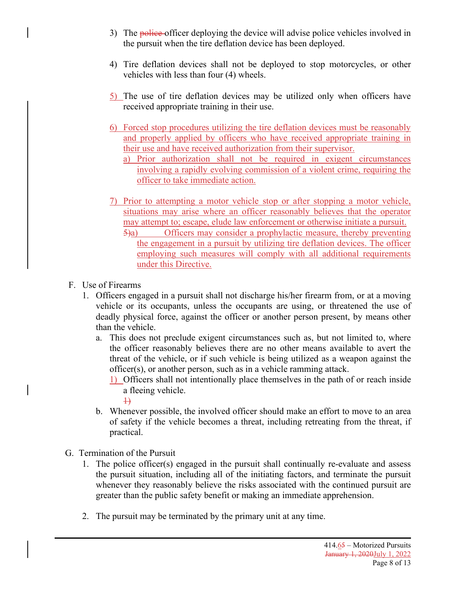- 3) The **police** officer deploying the device will advise police vehicles involved in the pursuit when the tire deflation device has been deployed.
- 4) Tire deflation devices shall not be deployed to stop motorcycles, or other vehicles with less than four (4) wheels.
- 5) The use of tire deflation devices may be utilized only when officers have received appropriate training in their use.
- 6) Forced stop procedures utilizing the tire deflation devices must be reasonably and properly applied by officers who have received appropriate training in their use and have received authorization from their supervisor.
	- a) Prior authorization shall not be required in exigent circumstances involving a rapidly evolving commission of a violent crime, requiring the officer to take immediate action.
- 7) Prior to attempting a motor vehicle stop or after stopping a motor vehicle, situations may arise where an officer reasonably believes that the operator may attempt to; escape, elude law enforcement or otherwise initiate a pursuit.
	- 5)a) Officers may consider a prophylactic measure, thereby preventing the engagement in a pursuit by utilizing tire deflation devices. The officer employing such measures will comply with all additional requirements under this Directive.
- F. Use of Firearms
	- 1. Officers engaged in a pursuit shall not discharge his/her firearm from, or at a moving vehicle or its occupants, unless the occupants are using, or threatened the use of deadly physical force, against the officer or another person present, by means other than the vehicle.
		- a. This does not preclude exigent circumstances such as, but not limited to, where the officer reasonably believes there are no other means available to avert the threat of the vehicle, or if such vehicle is being utilized as a weapon against the officer(s), or another person, such as in a vehicle ramming attack.
			- 1) Officers shall not intentionally place themselves in the path of or reach inside a fleeing vehicle.
				- $\overline{+}$
		- b. Whenever possible, the involved officer should make an effort to move to an area of safety if the vehicle becomes a threat, including retreating from the threat, if practical.
- G. Termination of the Pursuit
	- 1. The police officer(s) engaged in the pursuit shall continually re-evaluate and assess the pursuit situation, including all of the initiating factors, and terminate the pursuit whenever they reasonably believe the risks associated with the continued pursuit are greater than the public safety benefit or making an immediate apprehension.
	- 2. The pursuit may be terminated by the primary unit at any time.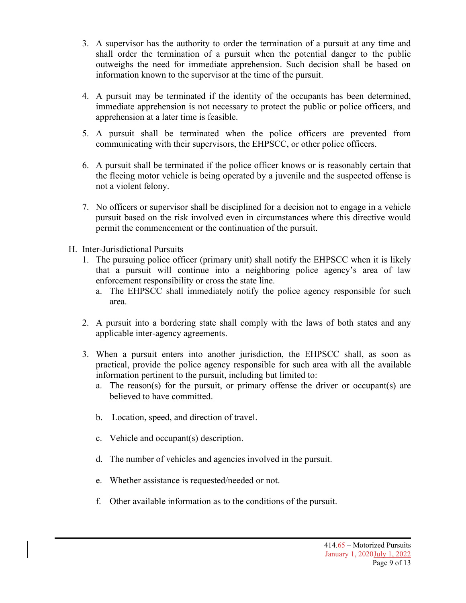- 3. A supervisor has the authority to order the termination of a pursuit at any time and shall order the termination of a pursuit when the potential danger to the public outweighs the need for immediate apprehension. Such decision shall be based on information known to the supervisor at the time of the pursuit.
- 4. A pursuit may be terminated if the identity of the occupants has been determined, immediate apprehension is not necessary to protect the public or police officers, and apprehension at a later time is feasible.
- 5. A pursuit shall be terminated when the police officers are prevented from communicating with their supervisors, the EHPSCC, or other police officers.
- 6. A pursuit shall be terminated if the police officer knows or is reasonably certain that the fleeing motor vehicle is being operated by a juvenile and the suspected offense is not a violent felony.
- 7. No officers or supervisor shall be disciplined for a decision not to engage in a vehicle pursuit based on the risk involved even in circumstances where this directive would permit the commencement or the continuation of the pursuit.
- H. Inter-Jurisdictional Pursuits
	- 1. The pursuing police officer (primary unit) shall notify the EHPSCC when it is likely that a pursuit will continue into a neighboring police agency's area of law enforcement responsibility or cross the state line.
		- a. The EHPSCC shall immediately notify the police agency responsible for such area.
	- 2. A pursuit into a bordering state shall comply with the laws of both states and any applicable inter-agency agreements.
	- 3. When a pursuit enters into another jurisdiction, the EHPSCC shall, as soon as practical, provide the police agency responsible for such area with all the available information pertinent to the pursuit, including but limited to:
		- a. The reason(s) for the pursuit, or primary offense the driver or occupant(s) are believed to have committed.
		- b. Location, speed, and direction of travel.
		- c. Vehicle and occupant(s) description.
		- d. The number of vehicles and agencies involved in the pursuit.
		- e. Whether assistance is requested/needed or not.
		- f. Other available information as to the conditions of the pursuit.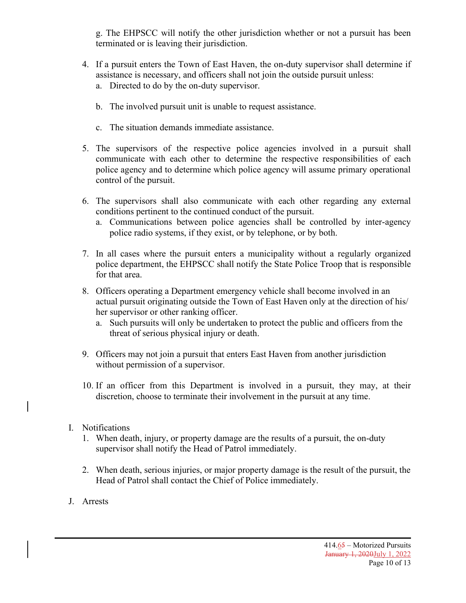g. The EHPSCC will notify the other jurisdiction whether or not a pursuit has been terminated or is leaving their jurisdiction.

- 4. If a pursuit enters the Town of East Haven, the on-duty supervisor shall determine if assistance is necessary, and officers shall not join the outside pursuit unless: a. Directed to do by the on-duty supervisor.
	- b. The involved pursuit unit is unable to request assistance.
	- c. The situation demands immediate assistance.
- 5. The supervisors of the respective police agencies involved in a pursuit shall communicate with each other to determine the respective responsibilities of each police agency and to determine which police agency will assume primary operational control of the pursuit.
- 6. The supervisors shall also communicate with each other regarding any external conditions pertinent to the continued conduct of the pursuit.
	- a. Communications between police agencies shall be controlled by inter-agency police radio systems, if they exist, or by telephone, or by both.
- 7. In all cases where the pursuit enters a municipality without a regularly organized police department, the EHPSCC shall notify the State Police Troop that is responsible for that area.
- 8. Officers operating a Department emergency vehicle shall become involved in an actual pursuit originating outside the Town of East Haven only at the direction of his/ her supervisor or other ranking officer.
	- a. Such pursuits will only be undertaken to protect the public and officers from the threat of serious physical injury or death.
- 9. Officers may not join a pursuit that enters East Haven from another jurisdiction without permission of a supervisor.
- 10. If an officer from this Department is involved in a pursuit, they may, at their discretion, choose to terminate their involvement in the pursuit at any time.
- I. Notifications
	- 1. When death, injury, or property damage are the results of a pursuit, the on-duty supervisor shall notify the Head of Patrol immediately.
	- 2. When death, serious injuries, or major property damage is the result of the pursuit, the Head of Patrol shall contact the Chief of Police immediately.
- J. Arrests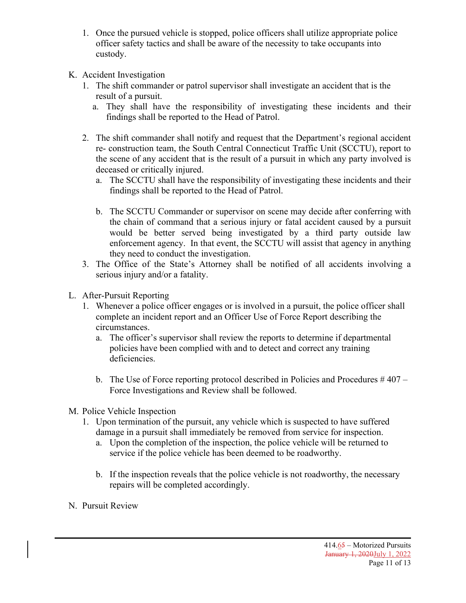- 1. Once the pursued vehicle is stopped, police officers shall utilize appropriate police officer safety tactics and shall be aware of the necessity to take occupants into custody.
- K. Accident Investigation
	- 1. The shift commander or patrol supervisor shall investigate an accident that is the result of a pursuit.
		- a. They shall have the responsibility of investigating these incidents and their findings shall be reported to the Head of Patrol.
	- 2. The shift commander shall notify and request that the Department's regional accident re- construction team, the South Central Connecticut Traffic Unit (SCCTU), report to the scene of any accident that is the result of a pursuit in which any party involved is deceased or critically injured.
		- a. The SCCTU shall have the responsibility of investigating these incidents and their findings shall be reported to the Head of Patrol.
		- b. The SCCTU Commander or supervisor on scene may decide after conferring with the chain of command that a serious injury or fatal accident caused by a pursuit would be better served being investigated by a third party outside law enforcement agency. In that event, the SCCTU will assist that agency in anything they need to conduct the investigation.
	- 3. The Office of the State's Attorney shall be notified of all accidents involving a serious injury and/or a fatality.
- L. After-Pursuit Reporting
	- 1. Whenever a police officer engages or is involved in a pursuit, the police officer shall complete an incident report and an Officer Use of Force Report describing the circumstances.
		- a. The officer's supervisor shall review the reports to determine if departmental policies have been complied with and to detect and correct any training deficiencies.
		- b. The Use of Force reporting protocol described in Policies and Procedures  $\#407 -$ Force Investigations and Review shall be followed.
- M. Police Vehicle Inspection
	- 1. Upon termination of the pursuit, any vehicle which is suspected to have suffered damage in a pursuit shall immediately be removed from service for inspection.
		- a. Upon the completion of the inspection, the police vehicle will be returned to service if the police vehicle has been deemed to be roadworthy.
		- b. If the inspection reveals that the police vehicle is not roadworthy, the necessary repairs will be completed accordingly.
- N. Pursuit Review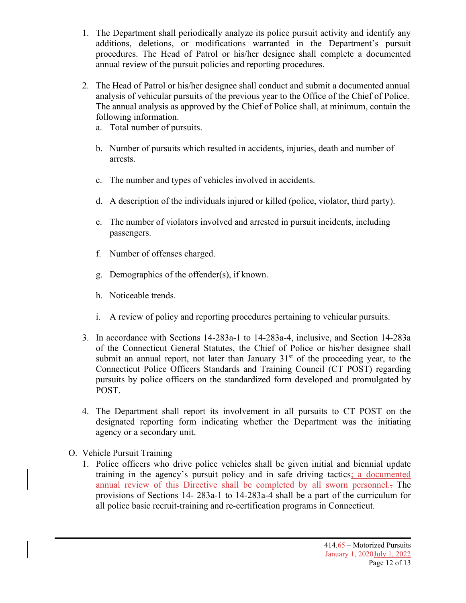- 1. The Department shall periodically analyze its police pursuit activity and identify any additions, deletions, or modifications warranted in the Department's pursuit procedures. The Head of Patrol or his/her designee shall complete a documented annual review of the pursuit policies and reporting procedures.
- 2. The Head of Patrol or his/her designee shall conduct and submit a documented annual analysis of vehicular pursuits of the previous year to the Office of the Chief of Police. The annual analysis as approved by the Chief of Police shall, at minimum, contain the following information.
	- a. Total number of pursuits.
	- b. Number of pursuits which resulted in accidents, injuries, death and number of arrests.
	- c. The number and types of vehicles involved in accidents.
	- d. A description of the individuals injured or killed (police, violator, third party).
	- e. The number of violators involved and arrested in pursuit incidents, including passengers.
	- f. Number of offenses charged.
	- g. Demographics of the offender(s), if known.
	- h. Noticeable trends.
	- i. A review of policy and reporting procedures pertaining to vehicular pursuits.
- 3. In accordance with Sections 14-283a-1 to 14-283a-4, inclusive, and Section 14-283a of the Connecticut General Statutes, the Chief of Police or his/her designee shall submit an annual report, not later than January  $31<sup>st</sup>$  of the proceeding year, to the Connecticut Police Officers Standards and Training Council (CT POST) regarding pursuits by police officers on the standardized form developed and promulgated by POST.
- 4. The Department shall report its involvement in all pursuits to CT POST on the designated reporting form indicating whether the Department was the initiating agency or a secondary unit.
- O. Vehicle Pursuit Training
	- 1. Police officers who drive police vehicles shall be given initial and biennial update training in the agency's pursuit policy and in safe driving tactics; a documented annual review of this Directive shall be completed by all sworn personnel.. The provisions of Sections 14- 283a-1 to 14-283a-4 shall be a part of the curriculum for all police basic recruit-training and re-certification programs in Connecticut.